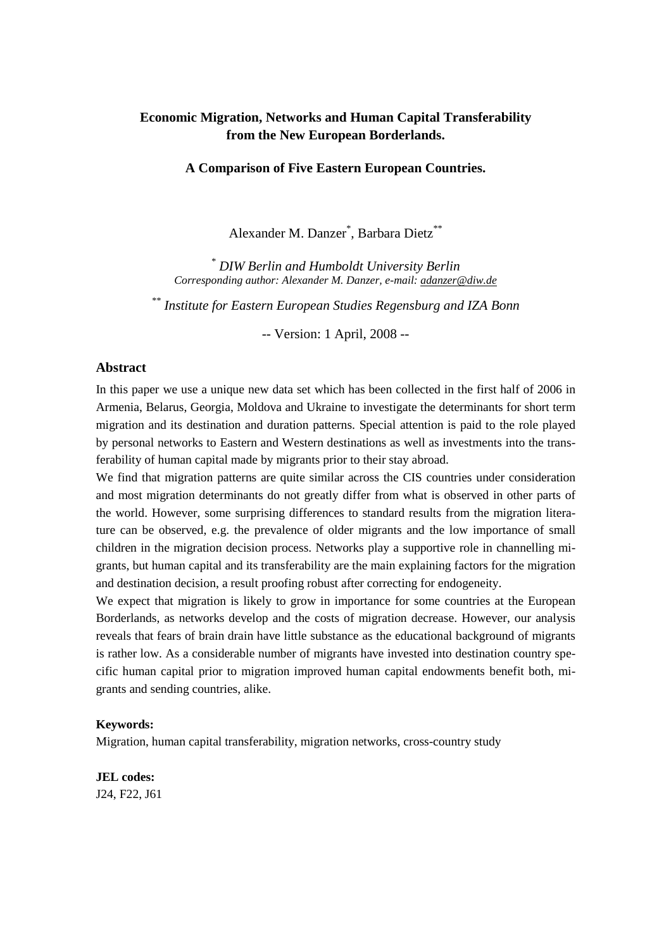# **Economic Migration, Networks and Human Capital Transferability from the New European Borderlands.**

#### **A Comparison of Five Eastern European Countries.**

Alexander M. Danzer<sup>\*</sup>, Barbara Dietz<sup>\*\*</sup>

*\* DIW Berlin and Humboldt University Berlin Corresponding author: Alexander M. Danzer, e-mail: adanzer@diw.de*

*\*\* Institute for Eastern European Studies Regensburg and IZA Bonn* 

-- Version: 1 April, 2008 --

#### **Abstract**

In this paper we use a unique new data set which has been collected in the first half of 2006 in Armenia, Belarus, Georgia, Moldova and Ukraine to investigate the determinants for short term migration and its destination and duration patterns. Special attention is paid to the role played by personal networks to Eastern and Western destinations as well as investments into the transferability of human capital made by migrants prior to their stay abroad.

We find that migration patterns are quite similar across the CIS countries under consideration and most migration determinants do not greatly differ from what is observed in other parts of the world. However, some surprising differences to standard results from the migration literature can be observed, e.g. the prevalence of older migrants and the low importance of small children in the migration decision process. Networks play a supportive role in channelling migrants, but human capital and its transferability are the main explaining factors for the migration and destination decision, a result proofing robust after correcting for endogeneity.

We expect that migration is likely to grow in importance for some countries at the European Borderlands, as networks develop and the costs of migration decrease. However, our analysis reveals that fears of brain drain have little substance as the educational background of migrants is rather low. As a considerable number of migrants have invested into destination country specific human capital prior to migration improved human capital endowments benefit both, migrants and sending countries, alike.

#### **Keywords:**

Migration, human capital transferability, migration networks, cross-country study

# **JEL codes:** J24, F22, J61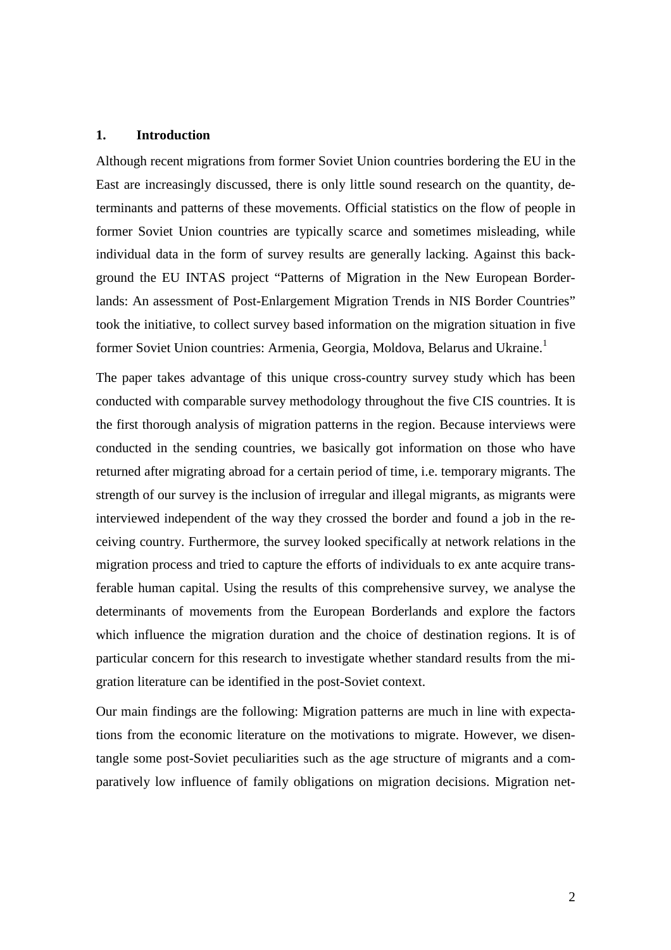### **1. Introduction**

Although recent migrations from former Soviet Union countries bordering the EU in the East are increasingly discussed, there is only little sound research on the quantity, determinants and patterns of these movements. Official statistics on the flow of people in former Soviet Union countries are typically scarce and sometimes misleading, while individual data in the form of survey results are generally lacking. Against this background the EU INTAS project "Patterns of Migration in the New European Borderlands: An assessment of Post-Enlargement Migration Trends in NIS Border Countries" took the initiative, to collect survey based information on the migration situation in five former Soviet Union countries: Armenia, Georgia, Moldova, Belarus and Ukraine.<sup>1</sup>

The paper takes advantage of this unique cross-country survey study which has been conducted with comparable survey methodology throughout the five CIS countries. It is the first thorough analysis of migration patterns in the region. Because interviews were conducted in the sending countries, we basically got information on those who have returned after migrating abroad for a certain period of time, i.e. temporary migrants. The strength of our survey is the inclusion of irregular and illegal migrants, as migrants were interviewed independent of the way they crossed the border and found a job in the receiving country. Furthermore, the survey looked specifically at network relations in the migration process and tried to capture the efforts of individuals to ex ante acquire transferable human capital. Using the results of this comprehensive survey, we analyse the determinants of movements from the European Borderlands and explore the factors which influence the migration duration and the choice of destination regions. It is of particular concern for this research to investigate whether standard results from the migration literature can be identified in the post-Soviet context.

Our main findings are the following: Migration patterns are much in line with expectations from the economic literature on the motivations to migrate. However, we disentangle some post-Soviet peculiarities such as the age structure of migrants and a comparatively low influence of family obligations on migration decisions. Migration net-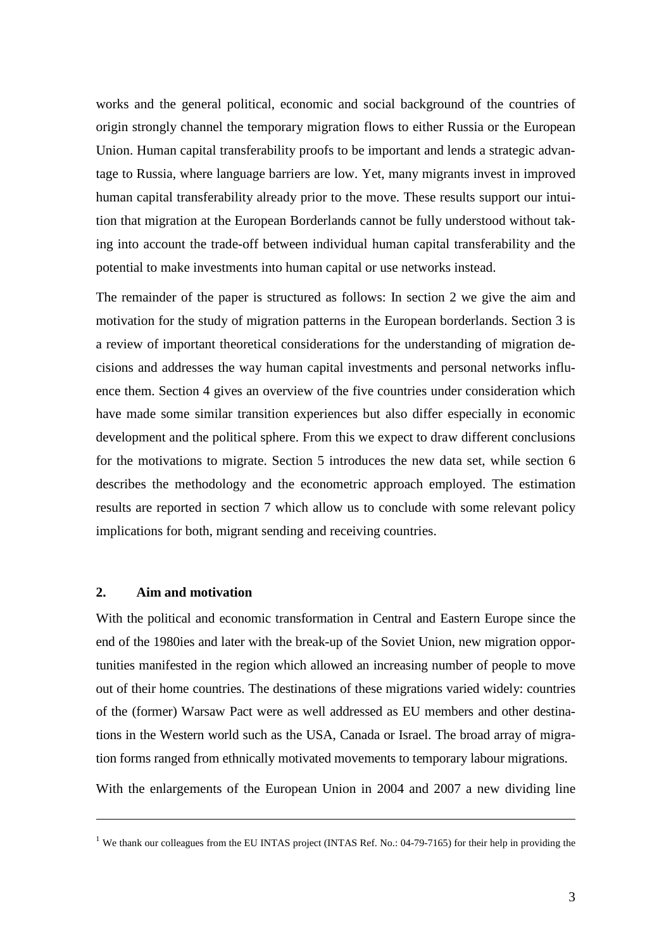works and the general political, economic and social background of the countries of origin strongly channel the temporary migration flows to either Russia or the European Union. Human capital transferability proofs to be important and lends a strategic advantage to Russia, where language barriers are low. Yet, many migrants invest in improved human capital transferability already prior to the move. These results support our intuition that migration at the European Borderlands cannot be fully understood without taking into account the trade-off between individual human capital transferability and the potential to make investments into human capital or use networks instead.

The remainder of the paper is structured as follows: In section 2 we give the aim and motivation for the study of migration patterns in the European borderlands. Section 3 is a review of important theoretical considerations for the understanding of migration decisions and addresses the way human capital investments and personal networks influence them. Section 4 gives an overview of the five countries under consideration which have made some similar transition experiences but also differ especially in economic development and the political sphere. From this we expect to draw different conclusions for the motivations to migrate. Section 5 introduces the new data set, while section 6 describes the methodology and the econometric approach employed. The estimation results are reported in section 7 which allow us to conclude with some relevant policy implications for both, migrant sending and receiving countries.

### **2. Aim and motivation**

<u>.</u>

With the political and economic transformation in Central and Eastern Europe since the end of the 1980ies and later with the break-up of the Soviet Union, new migration opportunities manifested in the region which allowed an increasing number of people to move out of their home countries. The destinations of these migrations varied widely: countries of the (former) Warsaw Pact were as well addressed as EU members and other destinations in the Western world such as the USA, Canada or Israel. The broad array of migration forms ranged from ethnically motivated movements to temporary labour migrations.

With the enlargements of the European Union in 2004 and 2007 a new dividing line

<sup>&</sup>lt;sup>1</sup> We thank our colleagues from the EU INTAS project (INTAS Ref. No.: 04-79-7165) for their help in providing the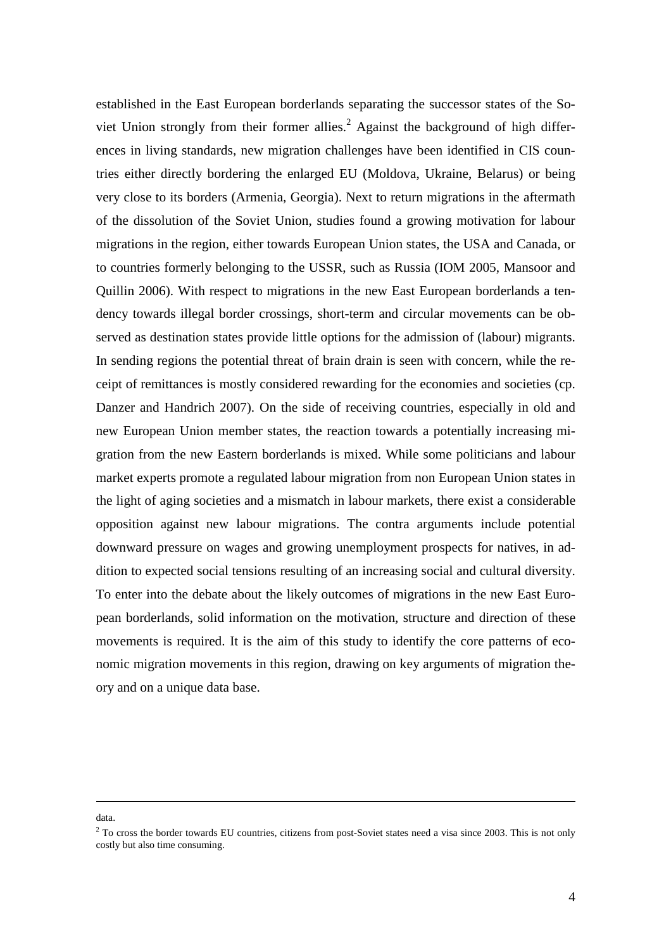established in the East European borderlands separating the successor states of the Soviet Union strongly from their former allies.<sup>2</sup> Against the background of high differences in living standards, new migration challenges have been identified in CIS countries either directly bordering the enlarged EU (Moldova, Ukraine, Belarus) or being very close to its borders (Armenia, Georgia). Next to return migrations in the aftermath of the dissolution of the Soviet Union, studies found a growing motivation for labour migrations in the region, either towards European Union states, the USA and Canada, or to countries formerly belonging to the USSR, such as Russia (IOM 2005, Mansoor and Quillin 2006). With respect to migrations in the new East European borderlands a tendency towards illegal border crossings, short-term and circular movements can be observed as destination states provide little options for the admission of (labour) migrants. In sending regions the potential threat of brain drain is seen with concern, while the receipt of remittances is mostly considered rewarding for the economies and societies (cp. Danzer and Handrich 2007). On the side of receiving countries, especially in old and new European Union member states, the reaction towards a potentially increasing migration from the new Eastern borderlands is mixed. While some politicians and labour market experts promote a regulated labour migration from non European Union states in the light of aging societies and a mismatch in labour markets, there exist a considerable opposition against new labour migrations. The contra arguments include potential downward pressure on wages and growing unemployment prospects for natives, in addition to expected social tensions resulting of an increasing social and cultural diversity. To enter into the debate about the likely outcomes of migrations in the new East European borderlands, solid information on the motivation, structure and direction of these movements is required. It is the aim of this study to identify the core patterns of economic migration movements in this region, drawing on key arguments of migration theory and on a unique data base.

#### data.

<u>.</u>

 $2^2$  To cross the border towards EU countries, citizens from post-Soviet states need a visa since 2003. This is not only costly but also time consuming.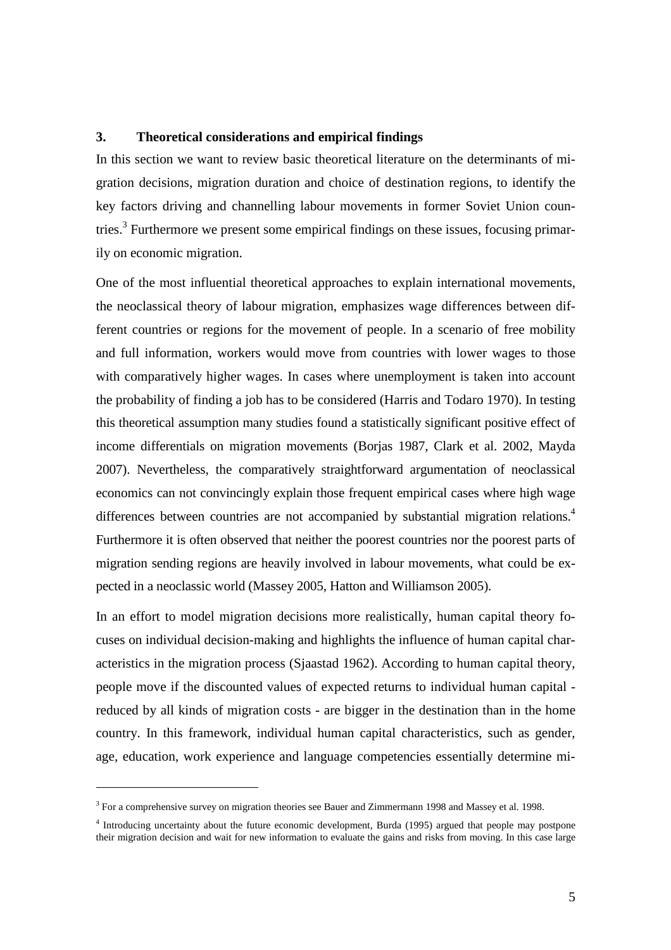### **3. Theoretical considerations and empirical findings**

In this section we want to review basic theoretical literature on the determinants of migration decisions, migration duration and choice of destination regions, to identify the key factors driving and channelling labour movements in former Soviet Union countries.<sup>3</sup> Furthermore we present some empirical findings on these issues, focusing primarily on economic migration.

One of the most influential theoretical approaches to explain international movements, the neoclassical theory of labour migration, emphasizes wage differences between different countries or regions for the movement of people. In a scenario of free mobility and full information, workers would move from countries with lower wages to those with comparatively higher wages. In cases where unemployment is taken into account the probability of finding a job has to be considered (Harris and Todaro 1970). In testing this theoretical assumption many studies found a statistically significant positive effect of income differentials on migration movements (Borjas 1987, Clark et al. 2002, Mayda 2007). Nevertheless, the comparatively straightforward argumentation of neoclassical economics can not convincingly explain those frequent empirical cases where high wage differences between countries are not accompanied by substantial migration relations.<sup>4</sup> Furthermore it is often observed that neither the poorest countries nor the poorest parts of migration sending regions are heavily involved in labour movements, what could be expected in a neoclassic world (Massey 2005, Hatton and Williamson 2005).

In an effort to model migration decisions more realistically, human capital theory focuses on individual decision-making and highlights the influence of human capital characteristics in the migration process (Sjaastad 1962). According to human capital theory, people move if the discounted values of expected returns to individual human capital reduced by all kinds of migration costs - are bigger in the destination than in the home country. In this framework, individual human capital characteristics, such as gender, age, education, work experience and language competencies essentially determine mi-

 $\overline{a}$ 

<sup>&</sup>lt;sup>3</sup> For a comprehensive survey on migration theories see Bauer and Zimmermann 1998 and Massey et al. 1998.

<sup>&</sup>lt;sup>4</sup> Introducing uncertainty about the future economic development, Burda (1995) argued that people may postpone their migration decision and wait for new information to evaluate the gains and risks from moving. In this case large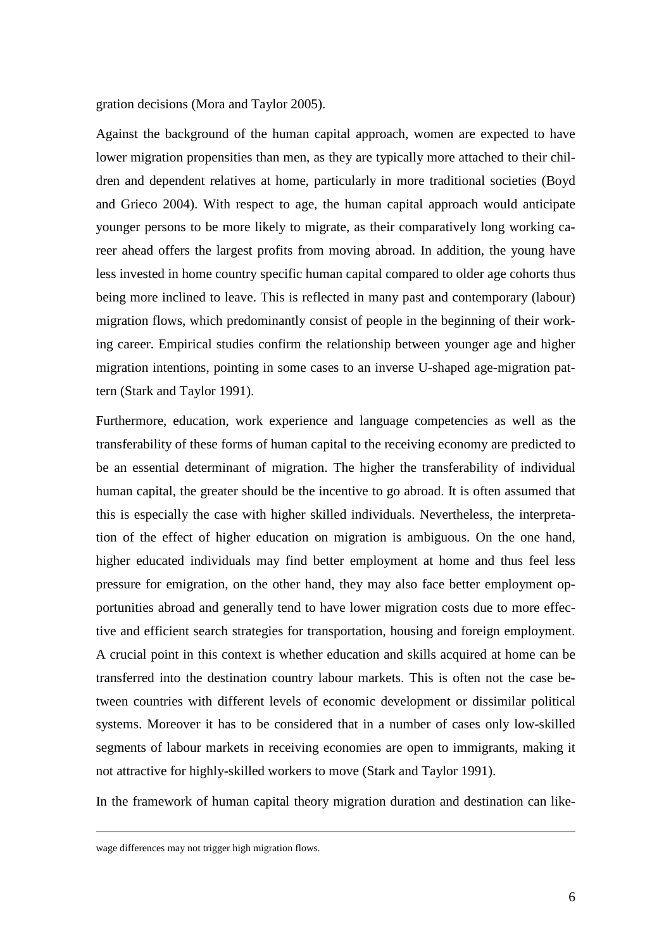gration decisions (Mora and Taylor 2005).

Against the background of the human capital approach, women are expected to have lower migration propensities than men, as they are typically more attached to their children and dependent relatives at home, particularly in more traditional societies (Boyd and Grieco 2004). With respect to age, the human capital approach would anticipate younger persons to be more likely to migrate, as their comparatively long working career ahead offers the largest profits from moving abroad. In addition, the young have less invested in home country specific human capital compared to older age cohorts thus being more inclined to leave. This is reflected in many past and contemporary (labour) migration flows, which predominantly consist of people in the beginning of their working career. Empirical studies confirm the relationship between younger age and higher migration intentions, pointing in some cases to an inverse U-shaped age-migration pattern (Stark and Taylor 1991).

Furthermore, education, work experience and language competencies as well as the transferability of these forms of human capital to the receiving economy are predicted to be an essential determinant of migration. The higher the transferability of individual human capital, the greater should be the incentive to go abroad. It is often assumed that this is especially the case with higher skilled individuals. Nevertheless, the interpretation of the effect of higher education on migration is ambiguous. On the one hand, higher educated individuals may find better employment at home and thus feel less pressure for emigration, on the other hand, they may also face better employment opportunities abroad and generally tend to have lower migration costs due to more effective and efficient search strategies for transportation, housing and foreign employment. A crucial point in this context is whether education and skills acquired at home can be transferred into the destination country labour markets. This is often not the case between countries with different levels of economic development or dissimilar political systems. Moreover it has to be considered that in a number of cases only low-skilled segments of labour markets in receiving economies are open to immigrants, making it not attractive for highly-skilled workers to move (Stark and Taylor 1991).

In the framework of human capital theory migration duration and destination can like-

<u>.</u>

wage differences may not trigger high migration flows.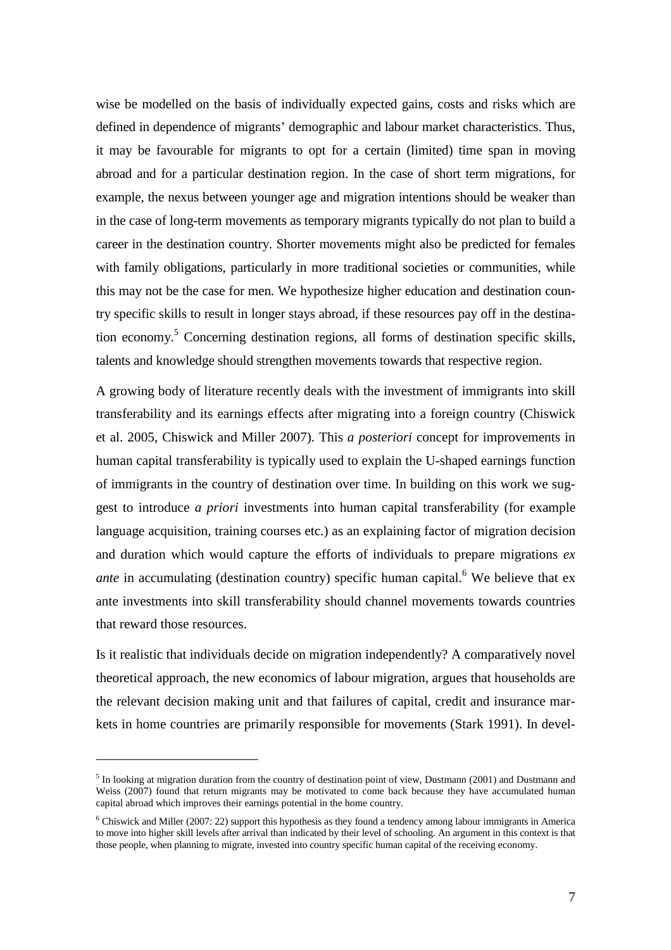wise be modelled on the basis of individually expected gains, costs and risks which are defined in dependence of migrants' demographic and labour market characteristics. Thus, it may be favourable for migrants to opt for a certain (limited) time span in moving abroad and for a particular destination region. In the case of short term migrations, for example, the nexus between younger age and migration intentions should be weaker than in the case of long-term movements as temporary migrants typically do not plan to build a career in the destination country. Shorter movements might also be predicted for females with family obligations, particularly in more traditional societies or communities, while this may not be the case for men. We hypothesize higher education and destination country specific skills to result in longer stays abroad, if these resources pay off in the destination economy.<sup>5</sup> Concerning destination regions, all forms of destination specific skills, talents and knowledge should strengthen movements towards that respective region.

A growing body of literature recently deals with the investment of immigrants into skill transferability and its earnings effects after migrating into a foreign country (Chiswick et al. 2005, Chiswick and Miller 2007). This *a posteriori* concept for improvements in human capital transferability is typically used to explain the U-shaped earnings function of immigrants in the country of destination over time. In building on this work we suggest to introduce *a priori* investments into human capital transferability (for example language acquisition, training courses etc.) as an explaining factor of migration decision and duration which would capture the efforts of individuals to prepare migrations *ex ante* in accumulating (destination country) specific human capital.<sup>6</sup> We believe that ex ante investments into skill transferability should channel movements towards countries that reward those resources.

Is it realistic that individuals decide on migration independently? A comparatively novel theoretical approach, the new economics of labour migration, argues that households are the relevant decision making unit and that failures of capital, credit and insurance markets in home countries are primarily responsible for movements (Stark 1991). In devel-

 $\overline{a}$ 

 $<sup>5</sup>$  In looking at migration duration from the country of destination point of view, Dustmann (2001) and Dustmann and</sup> Weiss (2007) found that return migrants may be motivated to come back because they have accumulated human capital abroad which improves their earnings potential in the home country.

 $6$  Chiswick and Miller (2007: 22) support this hypothesis as they found a tendency among labour immigrants in America to move into higher skill levels after arrival than indicated by their level of schooling. An argument in this context is that those people, when planning to migrate, invested into country specific human capital of the receiving economy.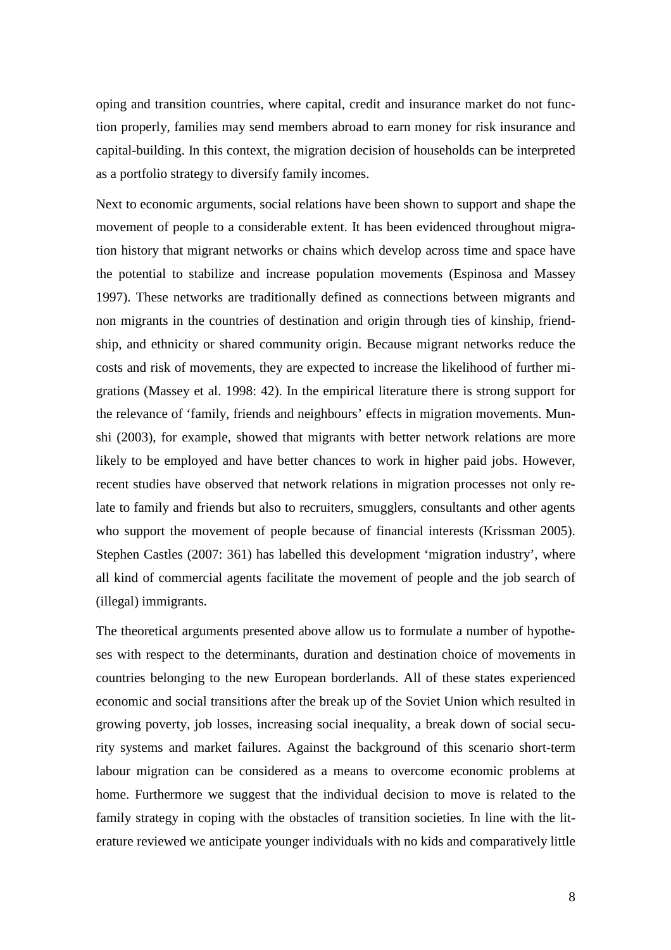oping and transition countries, where capital, credit and insurance market do not function properly, families may send members abroad to earn money for risk insurance and capital-building. In this context, the migration decision of households can be interpreted as a portfolio strategy to diversify family incomes.

Next to economic arguments, social relations have been shown to support and shape the movement of people to a considerable extent. It has been evidenced throughout migration history that migrant networks or chains which develop across time and space have the potential to stabilize and increase population movements (Espinosa and Massey 1997). These networks are traditionally defined as connections between migrants and non migrants in the countries of destination and origin through ties of kinship, friendship, and ethnicity or shared community origin. Because migrant networks reduce the costs and risk of movements, they are expected to increase the likelihood of further migrations (Massey et al. 1998: 42). In the empirical literature there is strong support for the relevance of 'family, friends and neighbours' effects in migration movements. Munshi (2003), for example, showed that migrants with better network relations are more likely to be employed and have better chances to work in higher paid jobs. However, recent studies have observed that network relations in migration processes not only relate to family and friends but also to recruiters, smugglers, consultants and other agents who support the movement of people because of financial interests (Krissman 2005). Stephen Castles (2007: 361) has labelled this development 'migration industry', where all kind of commercial agents facilitate the movement of people and the job search of (illegal) immigrants.

The theoretical arguments presented above allow us to formulate a number of hypotheses with respect to the determinants, duration and destination choice of movements in countries belonging to the new European borderlands. All of these states experienced economic and social transitions after the break up of the Soviet Union which resulted in growing poverty, job losses, increasing social inequality, a break down of social security systems and market failures. Against the background of this scenario short-term labour migration can be considered as a means to overcome economic problems at home. Furthermore we suggest that the individual decision to move is related to the family strategy in coping with the obstacles of transition societies. In line with the literature reviewed we anticipate younger individuals with no kids and comparatively little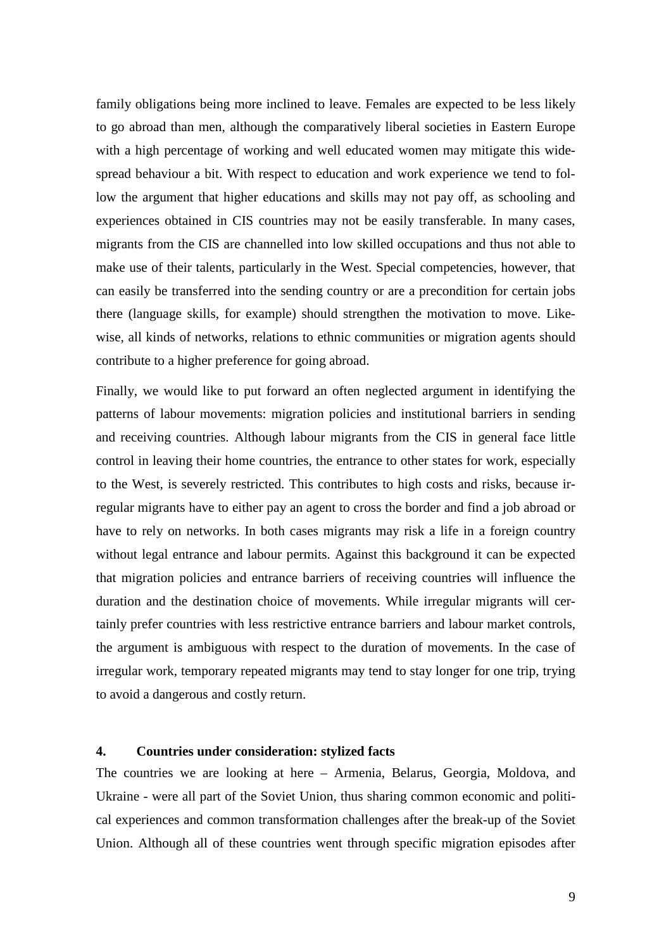family obligations being more inclined to leave. Females are expected to be less likely to go abroad than men, although the comparatively liberal societies in Eastern Europe with a high percentage of working and well educated women may mitigate this widespread behaviour a bit. With respect to education and work experience we tend to follow the argument that higher educations and skills may not pay off, as schooling and experiences obtained in CIS countries may not be easily transferable. In many cases, migrants from the CIS are channelled into low skilled occupations and thus not able to make use of their talents, particularly in the West. Special competencies, however, that can easily be transferred into the sending country or are a precondition for certain jobs there (language skills, for example) should strengthen the motivation to move. Likewise, all kinds of networks, relations to ethnic communities or migration agents should contribute to a higher preference for going abroad.

Finally, we would like to put forward an often neglected argument in identifying the patterns of labour movements: migration policies and institutional barriers in sending and receiving countries. Although labour migrants from the CIS in general face little control in leaving their home countries, the entrance to other states for work, especially to the West, is severely restricted. This contributes to high costs and risks, because irregular migrants have to either pay an agent to cross the border and find a job abroad or have to rely on networks. In both cases migrants may risk a life in a foreign country without legal entrance and labour permits. Against this background it can be expected that migration policies and entrance barriers of receiving countries will influence the duration and the destination choice of movements. While irregular migrants will certainly prefer countries with less restrictive entrance barriers and labour market controls, the argument is ambiguous with respect to the duration of movements. In the case of irregular work, temporary repeated migrants may tend to stay longer for one trip, trying to avoid a dangerous and costly return.

### **4. Countries under consideration: stylized facts**

The countries we are looking at here – Armenia, Belarus, Georgia, Moldova, and Ukraine - were all part of the Soviet Union, thus sharing common economic and political experiences and common transformation challenges after the break-up of the Soviet Union. Although all of these countries went through specific migration episodes after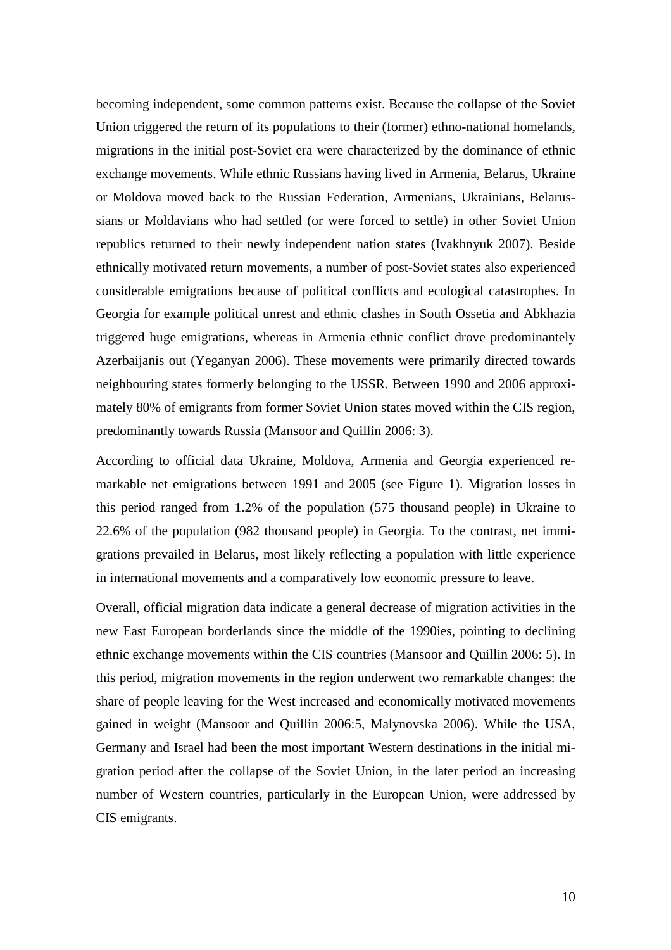becoming independent, some common patterns exist. Because the collapse of the Soviet Union triggered the return of its populations to their (former) ethno-national homelands, migrations in the initial post-Soviet era were characterized by the dominance of ethnic exchange movements. While ethnic Russians having lived in Armenia, Belarus, Ukraine or Moldova moved back to the Russian Federation, Armenians, Ukrainians, Belarussians or Moldavians who had settled (or were forced to settle) in other Soviet Union republics returned to their newly independent nation states (Ivakhnyuk 2007). Beside ethnically motivated return movements, a number of post-Soviet states also experienced considerable emigrations because of political conflicts and ecological catastrophes. In Georgia for example political unrest and ethnic clashes in South Ossetia and Abkhazia triggered huge emigrations, whereas in Armenia ethnic conflict drove predominantely Azerbaijanis out (Yeganyan 2006). These movements were primarily directed towards neighbouring states formerly belonging to the USSR. Between 1990 and 2006 approximately 80% of emigrants from former Soviet Union states moved within the CIS region, predominantly towards Russia (Mansoor and Quillin 2006: 3).

According to official data Ukraine, Moldova, Armenia and Georgia experienced remarkable net emigrations between 1991 and 2005 (see Figure 1). Migration losses in this period ranged from 1.2% of the population (575 thousand people) in Ukraine to 22.6% of the population (982 thousand people) in Georgia. To the contrast, net immigrations prevailed in Belarus, most likely reflecting a population with little experience in international movements and a comparatively low economic pressure to leave.

Overall, official migration data indicate a general decrease of migration activities in the new East European borderlands since the middle of the 1990ies, pointing to declining ethnic exchange movements within the CIS countries (Mansoor and Quillin 2006: 5). In this period, migration movements in the region underwent two remarkable changes: the share of people leaving for the West increased and economically motivated movements gained in weight (Mansoor and Quillin 2006:5, Malynovska 2006). While the USA, Germany and Israel had been the most important Western destinations in the initial migration period after the collapse of the Soviet Union, in the later period an increasing number of Western countries, particularly in the European Union, were addressed by CIS emigrants.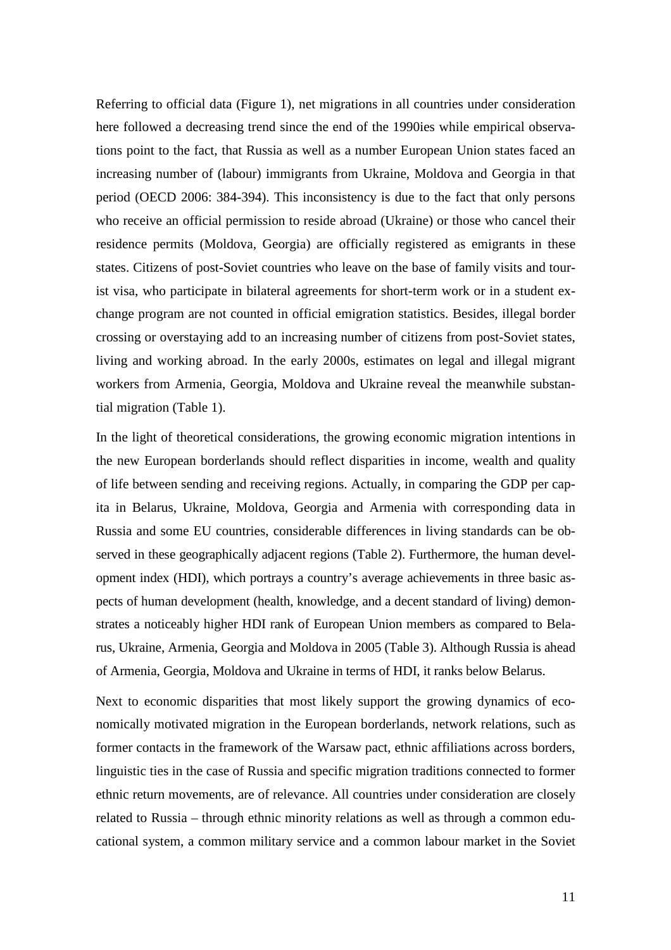Referring to official data (Figure 1), net migrations in all countries under consideration here followed a decreasing trend since the end of the 1990ies while empirical observations point to the fact, that Russia as well as a number European Union states faced an increasing number of (labour) immigrants from Ukraine, Moldova and Georgia in that period (OECD 2006: 384-394). This inconsistency is due to the fact that only persons who receive an official permission to reside abroad (Ukraine) or those who cancel their residence permits (Moldova, Georgia) are officially registered as emigrants in these states. Citizens of post-Soviet countries who leave on the base of family visits and tourist visa, who participate in bilateral agreements for short-term work or in a student exchange program are not counted in official emigration statistics. Besides, illegal border crossing or overstaying add to an increasing number of citizens from post-Soviet states, living and working abroad. In the early 2000s, estimates on legal and illegal migrant workers from Armenia, Georgia, Moldova and Ukraine reveal the meanwhile substantial migration (Table 1).

In the light of theoretical considerations, the growing economic migration intentions in the new European borderlands should reflect disparities in income, wealth and quality of life between sending and receiving regions. Actually, in comparing the GDP per capita in Belarus, Ukraine, Moldova, Georgia and Armenia with corresponding data in Russia and some EU countries, considerable differences in living standards can be observed in these geographically adjacent regions (Table 2). Furthermore, the human development index (HDI), which portrays a country's average achievements in three basic aspects of human development (health, knowledge, and a decent standard of living) demonstrates a noticeably higher HDI rank of European Union members as compared to Belarus, Ukraine, Armenia, Georgia and Moldova in 2005 (Table 3). Although Russia is ahead of Armenia, Georgia, Moldova and Ukraine in terms of HDI, it ranks below Belarus.

Next to economic disparities that most likely support the growing dynamics of economically motivated migration in the European borderlands, network relations, such as former contacts in the framework of the Warsaw pact, ethnic affiliations across borders, linguistic ties in the case of Russia and specific migration traditions connected to former ethnic return movements, are of relevance. All countries under consideration are closely related to Russia – through ethnic minority relations as well as through a common educational system, a common military service and a common labour market in the Soviet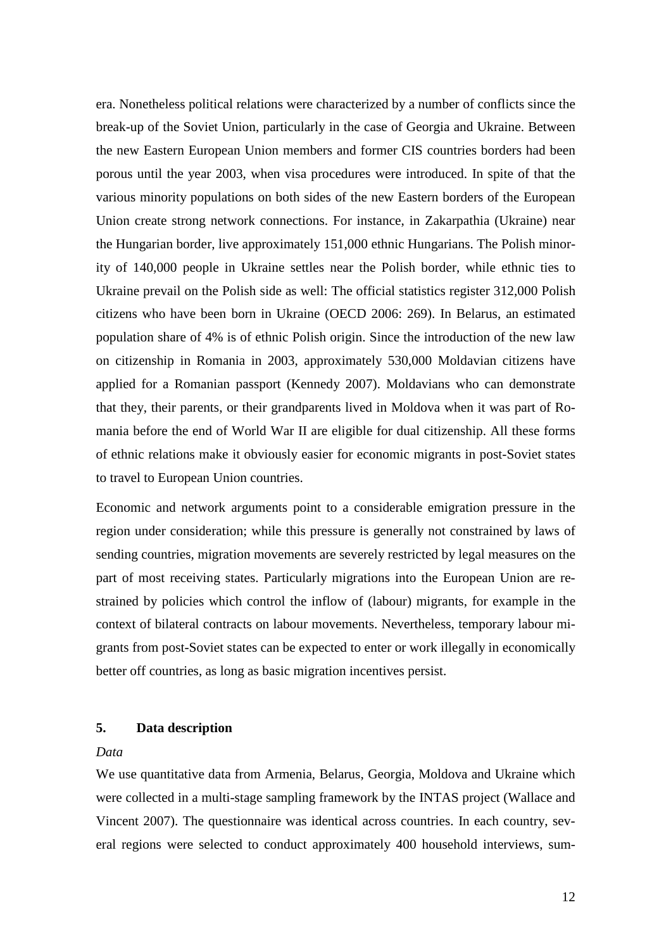era. Nonetheless political relations were characterized by a number of conflicts since the break-up of the Soviet Union, particularly in the case of Georgia and Ukraine. Between the new Eastern European Union members and former CIS countries borders had been porous until the year 2003, when visa procedures were introduced. In spite of that the various minority populations on both sides of the new Eastern borders of the European Union create strong network connections. For instance, in Zakarpathia (Ukraine) near the Hungarian border, live approximately 151,000 ethnic Hungarians. The Polish minority of 140,000 people in Ukraine settles near the Polish border, while ethnic ties to Ukraine prevail on the Polish side as well: The official statistics register 312,000 Polish citizens who have been born in Ukraine (OECD 2006: 269). In Belarus, an estimated population share of 4% is of ethnic Polish origin. Since the introduction of the new law on citizenship in Romania in 2003, approximately 530,000 Moldavian citizens have applied for a Romanian passport (Kennedy 2007). Moldavians who can demonstrate that they, their parents, or their grandparents lived in Moldova when it was part of Romania before the end of World War II are eligible for dual citizenship. All these forms of ethnic relations make it obviously easier for economic migrants in post-Soviet states to travel to European Union countries.

Economic and network arguments point to a considerable emigration pressure in the region under consideration; while this pressure is generally not constrained by laws of sending countries, migration movements are severely restricted by legal measures on the part of most receiving states. Particularly migrations into the European Union are restrained by policies which control the inflow of (labour) migrants, for example in the context of bilateral contracts on labour movements. Nevertheless, temporary labour migrants from post-Soviet states can be expected to enter or work illegally in economically better off countries, as long as basic migration incentives persist.

## **5. Data description**

### *Data*

We use quantitative data from Armenia, Belarus, Georgia, Moldova and Ukraine which were collected in a multi-stage sampling framework by the INTAS project (Wallace and Vincent 2007). The questionnaire was identical across countries. In each country, several regions were selected to conduct approximately 400 household interviews, sum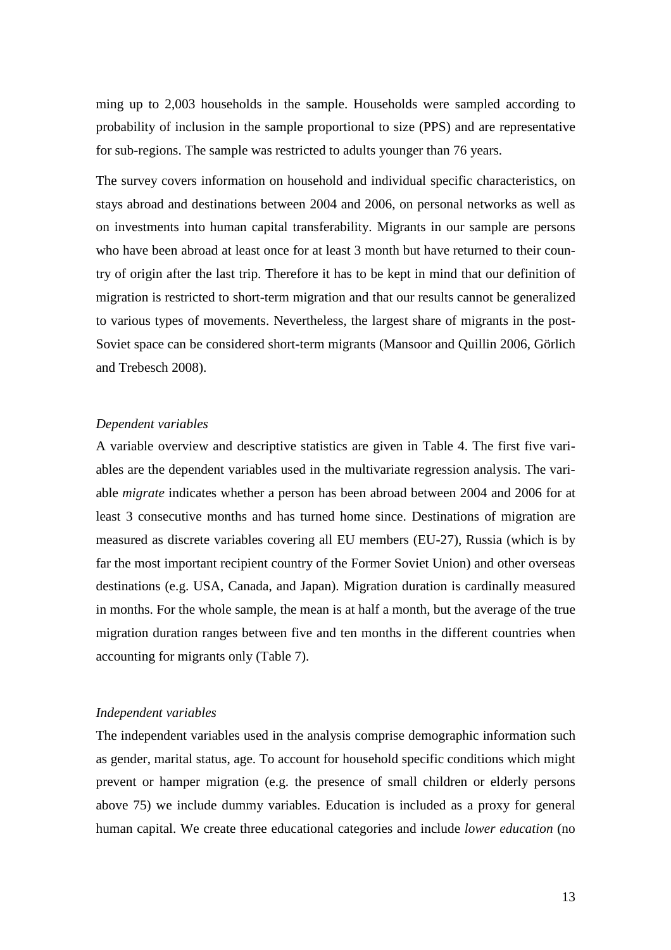ming up to 2,003 households in the sample. Households were sampled according to probability of inclusion in the sample proportional to size (PPS) and are representative for sub-regions. The sample was restricted to adults younger than 76 years.

The survey covers information on household and individual specific characteristics, on stays abroad and destinations between 2004 and 2006, on personal networks as well as on investments into human capital transferability. Migrants in our sample are persons who have been abroad at least once for at least 3 month but have returned to their country of origin after the last trip. Therefore it has to be kept in mind that our definition of migration is restricted to short-term migration and that our results cannot be generalized to various types of movements. Nevertheless, the largest share of migrants in the post-Soviet space can be considered short-term migrants (Mansoor and Quillin 2006, Görlich and Trebesch 2008).

#### *Dependent variables*

A variable overview and descriptive statistics are given in Table 4. The first five variables are the dependent variables used in the multivariate regression analysis. The variable *migrate* indicates whether a person has been abroad between 2004 and 2006 for at least 3 consecutive months and has turned home since. Destinations of migration are measured as discrete variables covering all EU members (EU-27), Russia (which is by far the most important recipient country of the Former Soviet Union) and other overseas destinations (e.g. USA, Canada, and Japan). Migration duration is cardinally measured in months. For the whole sample, the mean is at half a month, but the average of the true migration duration ranges between five and ten months in the different countries when accounting for migrants only (Table 7).

#### *Independent variables*

The independent variables used in the analysis comprise demographic information such as gender, marital status, age. To account for household specific conditions which might prevent or hamper migration (e.g. the presence of small children or elderly persons above 75) we include dummy variables. Education is included as a proxy for general human capital. We create three educational categories and include *lower education* (no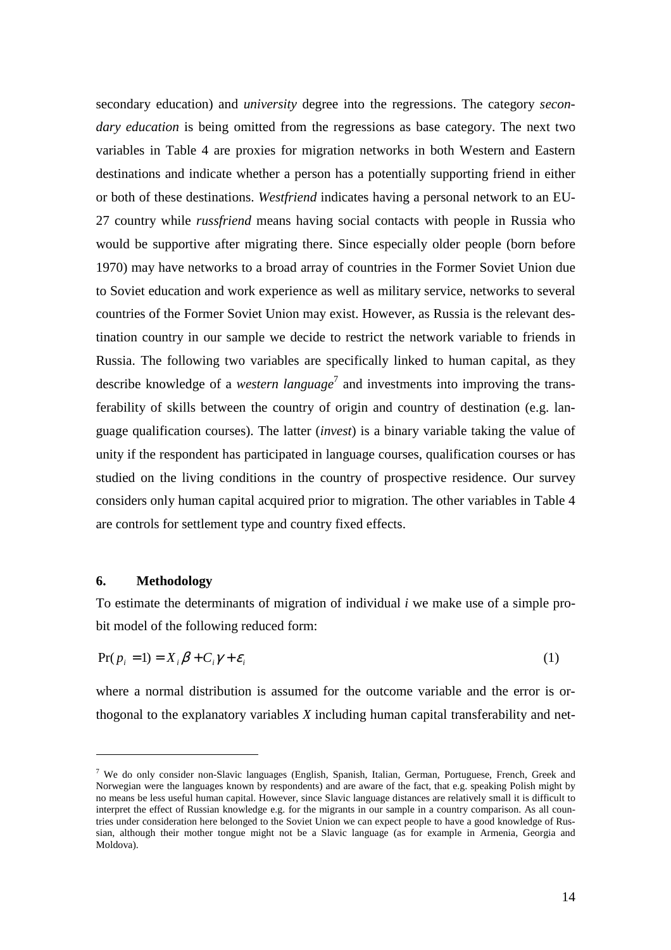secondary education) and *university* degree into the regressions. The category *secondary education* is being omitted from the regressions as base category. The next two variables in Table 4 are proxies for migration networks in both Western and Eastern destinations and indicate whether a person has a potentially supporting friend in either or both of these destinations. *Westfriend* indicates having a personal network to an EU-27 country while *russfriend* means having social contacts with people in Russia who would be supportive after migrating there. Since especially older people (born before 1970) may have networks to a broad array of countries in the Former Soviet Union due to Soviet education and work experience as well as military service, networks to several countries of the Former Soviet Union may exist. However, as Russia is the relevant destination country in our sample we decide to restrict the network variable to friends in Russia. The following two variables are specifically linked to human capital, as they describe knowledge of a *western language*<sup>7</sup> and investments into improving the transferability of skills between the country of origin and country of destination (e.g. language qualification courses). The latter (*invest*) is a binary variable taking the value of unity if the respondent has participated in language courses, qualification courses or has studied on the living conditions in the country of prospective residence. Our survey considers only human capital acquired prior to migration. The other variables in Table 4 are controls for settlement type and country fixed effects.

### **6. Methodology**

 $\overline{a}$ 

To estimate the determinants of migration of individual *i* we make use of a simple probit model of the following reduced form:

$$
Pr(p_i = 1) = X_i \beta + C_i \gamma + \varepsilon_i \tag{1}
$$

where a normal distribution is assumed for the outcome variable and the error is orthogonal to the explanatory variables *X* including human capital transferability and net-

<sup>&</sup>lt;sup>7</sup> We do only consider non-Slavic languages (English, Spanish, Italian, German, Portuguese, French, Greek and Norwegian were the languages known by respondents) and are aware of the fact, that e.g. speaking Polish might by no means be less useful human capital. However, since Slavic language distances are relatively small it is difficult to interpret the effect of Russian knowledge e.g. for the migrants in our sample in a country comparison. As all countries under consideration here belonged to the Soviet Union we can expect people to have a good knowledge of Russian, although their mother tongue might not be a Slavic language (as for example in Armenia, Georgia and Moldova).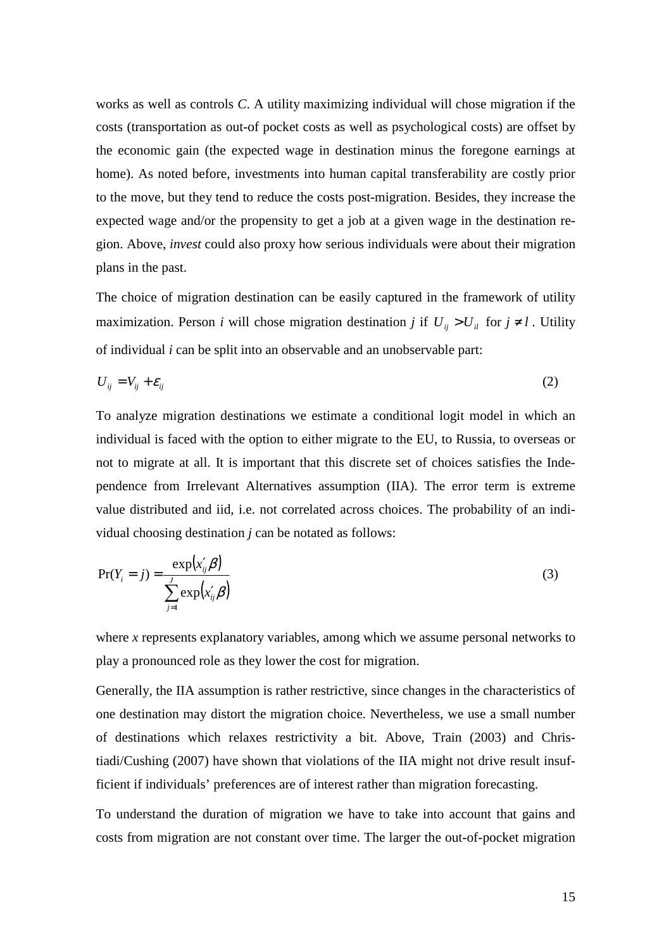works as well as controls *C*. A utility maximizing individual will chose migration if the costs (transportation as out-of pocket costs as well as psychological costs) are offset by the economic gain (the expected wage in destination minus the foregone earnings at home). As noted before, investments into human capital transferability are costly prior to the move, but they tend to reduce the costs post-migration. Besides, they increase the expected wage and/or the propensity to get a job at a given wage in the destination region. Above, *invest* could also proxy how serious individuals were about their migration plans in the past.

The choice of migration destination can be easily captured in the framework of utility maximization. Person *i* will chose migration destination *j* if  $U_{ii} > U_{ii}$  for  $j \neq l$ . Utility of individual *i* can be split into an observable and an unobservable part:

$$
U_{ij} = V_{ij} + \varepsilon_{ij} \tag{2}
$$

To analyze migration destinations we estimate a conditional logit model in which an individual is faced with the option to either migrate to the EU, to Russia, to overseas or not to migrate at all. It is important that this discrete set of choices satisfies the Independence from Irrelevant Alternatives assumption (IIA). The error term is extreme value distributed and iid, i.e. not correlated across choices. The probability of an individual choosing destination *j* can be notated as follows:

$$
Pr(Y_i = j) = \frac{\exp(x'_{ij}\beta)}{\sum_{j=1}^{j} \exp(x'_{ij}\beta)}
$$
(3)

where *x* represents explanatory variables, among which we assume personal networks to play a pronounced role as they lower the cost for migration.

Generally, the IIA assumption is rather restrictive, since changes in the characteristics of one destination may distort the migration choice. Nevertheless, we use a small number of destinations which relaxes restrictivity a bit. Above, Train (2003) and Christiadi/Cushing (2007) have shown that violations of the IIA might not drive result insufficient if individuals' preferences are of interest rather than migration forecasting.

To understand the duration of migration we have to take into account that gains and costs from migration are not constant over time. The larger the out-of-pocket migration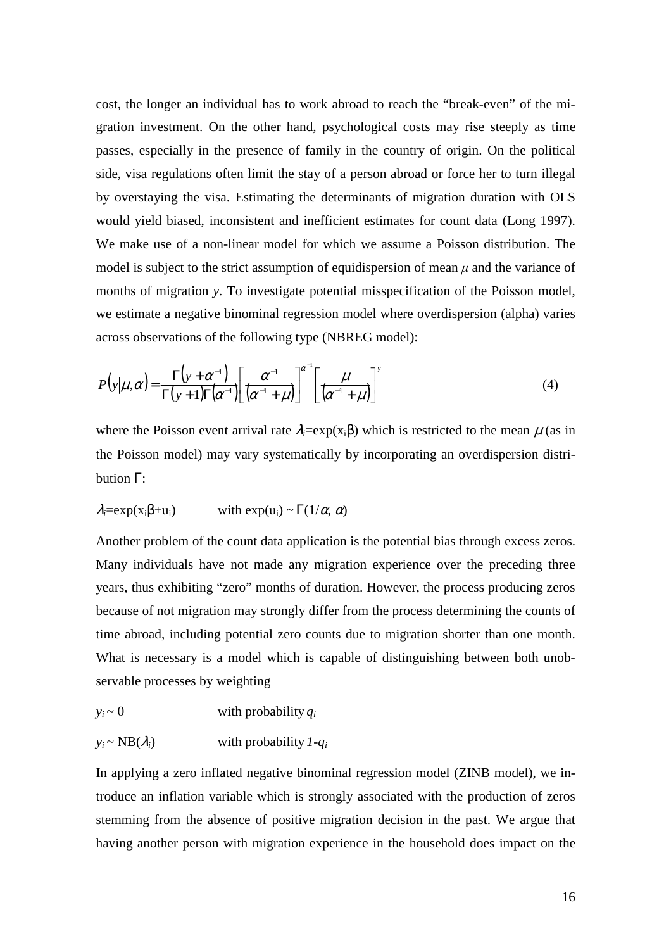cost, the longer an individual has to work abroad to reach the "break-even" of the migration investment. On the other hand, psychological costs may rise steeply as time passes, especially in the presence of family in the country of origin. On the political side, visa regulations often limit the stay of a person abroad or force her to turn illegal by overstaying the visa. Estimating the determinants of migration duration with OLS would yield biased, inconsistent and inefficient estimates for count data (Long 1997). We make use of a non-linear model for which we assume a Poisson distribution. The model is subject to the strict assumption of equidispersion of mean  $\mu$  and the variance of months of migration *y*. To investigate potential misspecification of the Poisson model, we estimate a negative binominal regression model where overdispersion (alpha) varies across observations of the following type (NBREG model):

$$
P(y|\mu,\alpha) = \frac{\Gamma(y+\alpha^{-1})}{\Gamma(y+1)\Gamma(\alpha^{-1})} \left[ \frac{\alpha^{-1}}{(\alpha^{-1}+\mu)} \right]^{\alpha^{-1}} \left[ \frac{\mu}{(\alpha^{-1}+\mu)} \right]^y \tag{4}
$$

where the Poisson event arrival rate  $\lambda_i = \exp(x_i \beta)$  which is restricted to the mean  $\mu$  (as in the Poisson model) may vary systematically by incorporating an overdispersion distribution Γ:

$$
\lambda_i = \exp(x_i\beta + u_i)
$$
 with  $\exp(u_i) \sim \Gamma(1/\alpha, \alpha)$ 

Another problem of the count data application is the potential bias through excess zeros. Many individuals have not made any migration experience over the preceding three years, thus exhibiting "zero" months of duration. However, the process producing zeros because of not migration may strongly differ from the process determining the counts of time abroad, including potential zero counts due to migration shorter than one month. What is necessary is a model which is capable of distinguishing between both unobservable processes by weighting

$$
y_i \sim 0
$$
 with probability  $q_i$ 

$$
y_i \sim NB(\lambda_i)
$$
 with probability  $1 - q_i$ 

In applying a zero inflated negative binominal regression model (ZINB model), we introduce an inflation variable which is strongly associated with the production of zeros stemming from the absence of positive migration decision in the past. We argue that having another person with migration experience in the household does impact on the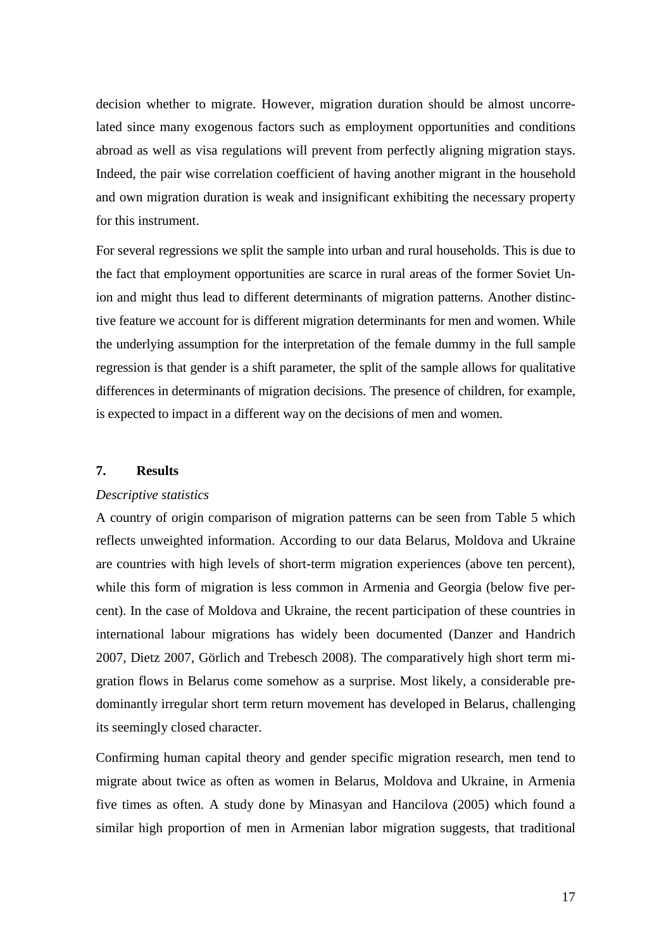decision whether to migrate. However, migration duration should be almost uncorrelated since many exogenous factors such as employment opportunities and conditions abroad as well as visa regulations will prevent from perfectly aligning migration stays. Indeed, the pair wise correlation coefficient of having another migrant in the household and own migration duration is weak and insignificant exhibiting the necessary property for this instrument.

For several regressions we split the sample into urban and rural households. This is due to the fact that employment opportunities are scarce in rural areas of the former Soviet Union and might thus lead to different determinants of migration patterns. Another distinctive feature we account for is different migration determinants for men and women. While the underlying assumption for the interpretation of the female dummy in the full sample regression is that gender is a shift parameter, the split of the sample allows for qualitative differences in determinants of migration decisions. The presence of children, for example, is expected to impact in a different way on the decisions of men and women.

#### **7. Results**

#### *Descriptive statistics*

A country of origin comparison of migration patterns can be seen from Table 5 which reflects unweighted information. According to our data Belarus, Moldova and Ukraine are countries with high levels of short-term migration experiences (above ten percent), while this form of migration is less common in Armenia and Georgia (below five percent). In the case of Moldova and Ukraine, the recent participation of these countries in international labour migrations has widely been documented (Danzer and Handrich 2007, Dietz 2007, Görlich and Trebesch 2008). The comparatively high short term migration flows in Belarus come somehow as a surprise. Most likely, a considerable predominantly irregular short term return movement has developed in Belarus, challenging its seemingly closed character.

Confirming human capital theory and gender specific migration research, men tend to migrate about twice as often as women in Belarus, Moldova and Ukraine, in Armenia five times as often. A study done by Minasyan and Hancilova (2005) which found a similar high proportion of men in Armenian labor migration suggests, that traditional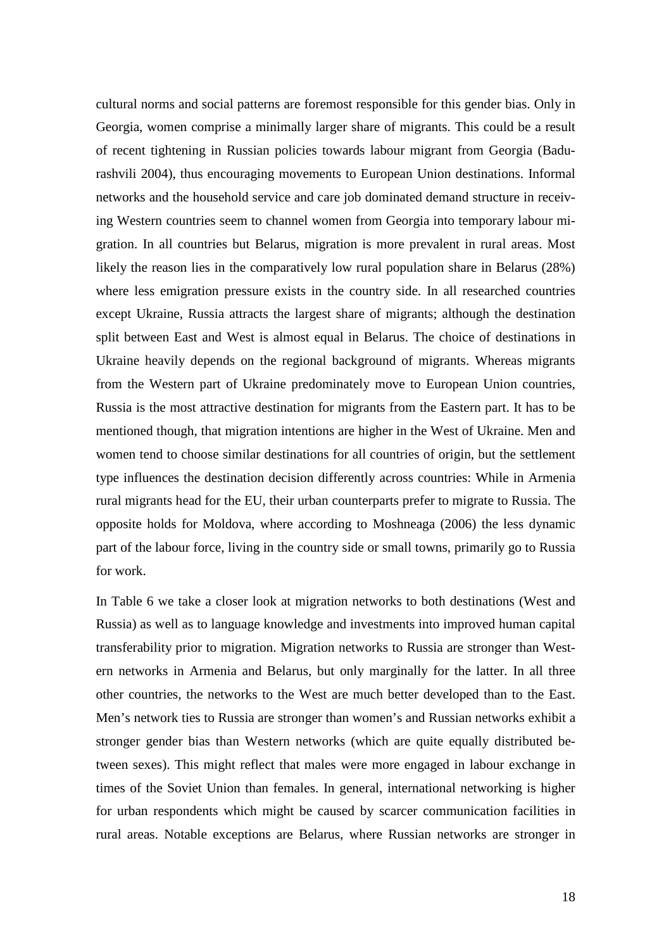cultural norms and social patterns are foremost responsible for this gender bias. Only in Georgia, women comprise a minimally larger share of migrants. This could be a result of recent tightening in Russian policies towards labour migrant from Georgia (Badurashvili 2004), thus encouraging movements to European Union destinations. Informal networks and the household service and care job dominated demand structure in receiving Western countries seem to channel women from Georgia into temporary labour migration. In all countries but Belarus, migration is more prevalent in rural areas. Most likely the reason lies in the comparatively low rural population share in Belarus (28%) where less emigration pressure exists in the country side. In all researched countries except Ukraine, Russia attracts the largest share of migrants; although the destination split between East and West is almost equal in Belarus. The choice of destinations in Ukraine heavily depends on the regional background of migrants. Whereas migrants from the Western part of Ukraine predominately move to European Union countries, Russia is the most attractive destination for migrants from the Eastern part. It has to be mentioned though, that migration intentions are higher in the West of Ukraine. Men and women tend to choose similar destinations for all countries of origin, but the settlement type influences the destination decision differently across countries: While in Armenia rural migrants head for the EU, their urban counterparts prefer to migrate to Russia. The opposite holds for Moldova, where according to Moshneaga (2006) the less dynamic part of the labour force, living in the country side or small towns, primarily go to Russia for work.

In Table 6 we take a closer look at migration networks to both destinations (West and Russia) as well as to language knowledge and investments into improved human capital transferability prior to migration. Migration networks to Russia are stronger than Western networks in Armenia and Belarus, but only marginally for the latter. In all three other countries, the networks to the West are much better developed than to the East. Men's network ties to Russia are stronger than women's and Russian networks exhibit a stronger gender bias than Western networks (which are quite equally distributed between sexes). This might reflect that males were more engaged in labour exchange in times of the Soviet Union than females. In general, international networking is higher for urban respondents which might be caused by scarcer communication facilities in rural areas. Notable exceptions are Belarus, where Russian networks are stronger in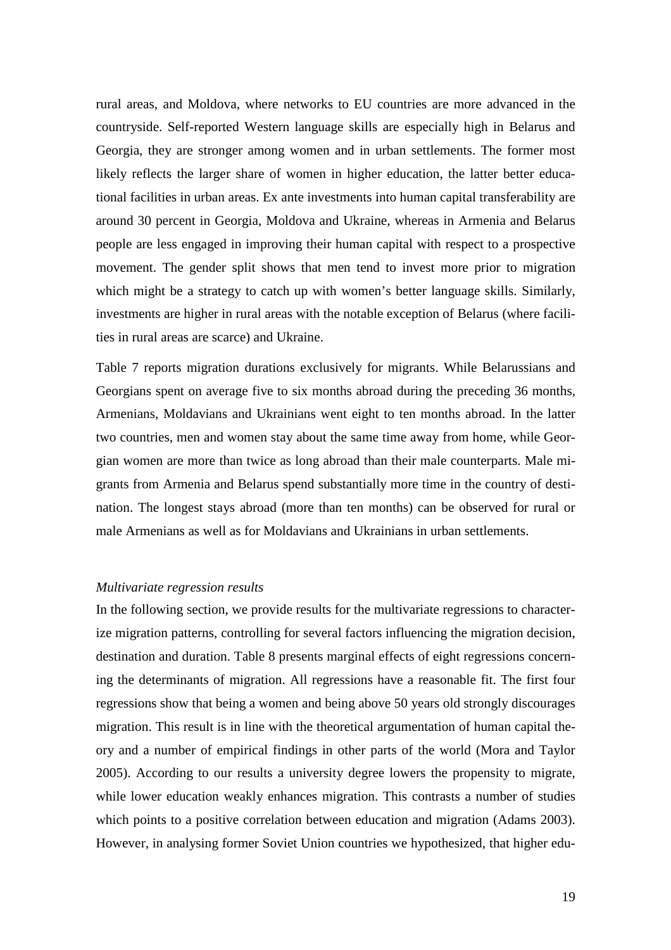rural areas, and Moldova, where networks to EU countries are more advanced in the countryside. Self-reported Western language skills are especially high in Belarus and Georgia, they are stronger among women and in urban settlements. The former most likely reflects the larger share of women in higher education, the latter better educational facilities in urban areas. Ex ante investments into human capital transferability are around 30 percent in Georgia, Moldova and Ukraine, whereas in Armenia and Belarus people are less engaged in improving their human capital with respect to a prospective movement. The gender split shows that men tend to invest more prior to migration which might be a strategy to catch up with women's better language skills. Similarly, investments are higher in rural areas with the notable exception of Belarus (where facilities in rural areas are scarce) and Ukraine.

Table 7 reports migration durations exclusively for migrants. While Belarussians and Georgians spent on average five to six months abroad during the preceding 36 months, Armenians, Moldavians and Ukrainians went eight to ten months abroad. In the latter two countries, men and women stay about the same time away from home, while Georgian women are more than twice as long abroad than their male counterparts. Male migrants from Armenia and Belarus spend substantially more time in the country of destination. The longest stays abroad (more than ten months) can be observed for rural or male Armenians as well as for Moldavians and Ukrainians in urban settlements.

### *Multivariate regression results*

In the following section, we provide results for the multivariate regressions to characterize migration patterns, controlling for several factors influencing the migration decision, destination and duration. Table 8 presents marginal effects of eight regressions concerning the determinants of migration. All regressions have a reasonable fit. The first four regressions show that being a women and being above 50 years old strongly discourages migration. This result is in line with the theoretical argumentation of human capital theory and a number of empirical findings in other parts of the world (Mora and Taylor 2005). According to our results a university degree lowers the propensity to migrate, while lower education weakly enhances migration. This contrasts a number of studies which points to a positive correlation between education and migration (Adams 2003). However, in analysing former Soviet Union countries we hypothesized, that higher edu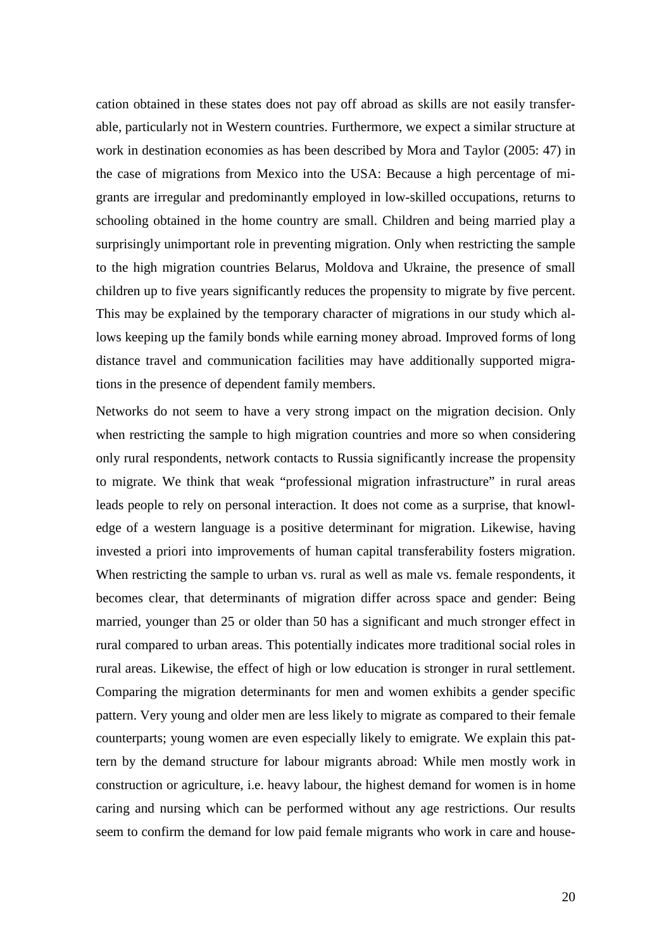cation obtained in these states does not pay off abroad as skills are not easily transferable, particularly not in Western countries. Furthermore, we expect a similar structure at work in destination economies as has been described by Mora and Taylor (2005: 47) in the case of migrations from Mexico into the USA: Because a high percentage of migrants are irregular and predominantly employed in low-skilled occupations, returns to schooling obtained in the home country are small. Children and being married play a surprisingly unimportant role in preventing migration. Only when restricting the sample to the high migration countries Belarus, Moldova and Ukraine, the presence of small children up to five years significantly reduces the propensity to migrate by five percent. This may be explained by the temporary character of migrations in our study which allows keeping up the family bonds while earning money abroad. Improved forms of long distance travel and communication facilities may have additionally supported migrations in the presence of dependent family members.

Networks do not seem to have a very strong impact on the migration decision. Only when restricting the sample to high migration countries and more so when considering only rural respondents, network contacts to Russia significantly increase the propensity to migrate. We think that weak "professional migration infrastructure" in rural areas leads people to rely on personal interaction. It does not come as a surprise, that knowledge of a western language is a positive determinant for migration. Likewise, having invested a priori into improvements of human capital transferability fosters migration. When restricting the sample to urban vs. rural as well as male vs. female respondents, it becomes clear, that determinants of migration differ across space and gender: Being married, younger than 25 or older than 50 has a significant and much stronger effect in rural compared to urban areas. This potentially indicates more traditional social roles in rural areas. Likewise, the effect of high or low education is stronger in rural settlement. Comparing the migration determinants for men and women exhibits a gender specific pattern. Very young and older men are less likely to migrate as compared to their female counterparts; young women are even especially likely to emigrate. We explain this pattern by the demand structure for labour migrants abroad: While men mostly work in construction or agriculture, i.e. heavy labour, the highest demand for women is in home caring and nursing which can be performed without any age restrictions. Our results seem to confirm the demand for low paid female migrants who work in care and house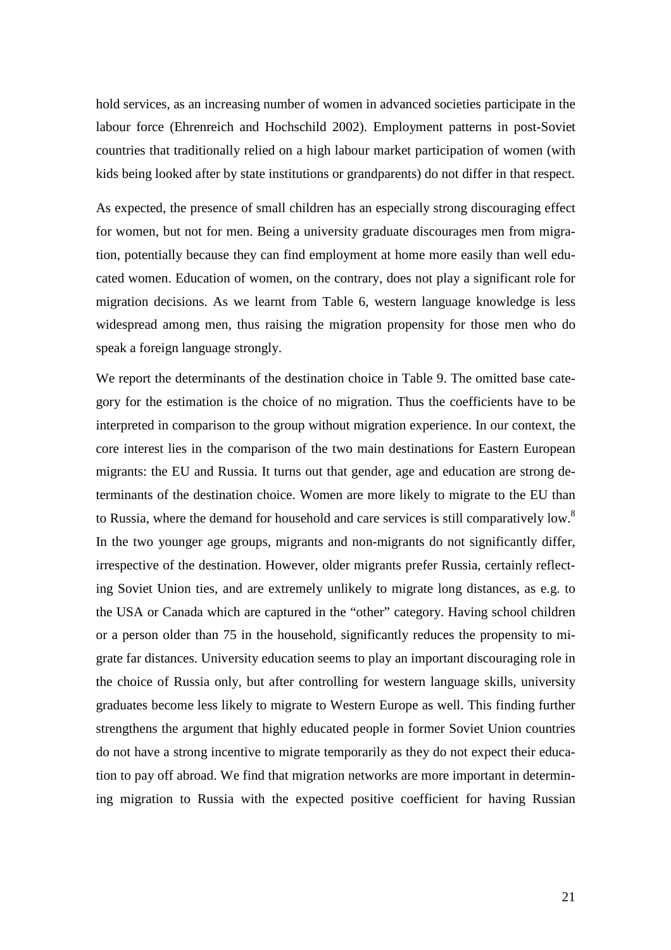hold services, as an increasing number of women in advanced societies participate in the labour force (Ehrenreich and Hochschild 2002). Employment patterns in post-Soviet countries that traditionally relied on a high labour market participation of women (with kids being looked after by state institutions or grandparents) do not differ in that respect.

As expected, the presence of small children has an especially strong discouraging effect for women, but not for men. Being a university graduate discourages men from migration, potentially because they can find employment at home more easily than well educated women. Education of women, on the contrary, does not play a significant role for migration decisions. As we learnt from Table 6, western language knowledge is less widespread among men, thus raising the migration propensity for those men who do speak a foreign language strongly.

We report the determinants of the destination choice in Table 9. The omitted base category for the estimation is the choice of no migration. Thus the coefficients have to be interpreted in comparison to the group without migration experience. In our context, the core interest lies in the comparison of the two main destinations for Eastern European migrants: the EU and Russia. It turns out that gender, age and education are strong determinants of the destination choice. Women are more likely to migrate to the EU than to Russia, where the demand for household and care services is still comparatively low.<sup>8</sup> In the two younger age groups, migrants and non-migrants do not significantly differ, irrespective of the destination. However, older migrants prefer Russia, certainly reflecting Soviet Union ties, and are extremely unlikely to migrate long distances, as e.g. to the USA or Canada which are captured in the "other" category. Having school children or a person older than 75 in the household, significantly reduces the propensity to migrate far distances. University education seems to play an important discouraging role in the choice of Russia only, but after controlling for western language skills, university graduates become less likely to migrate to Western Europe as well. This finding further strengthens the argument that highly educated people in former Soviet Union countries do not have a strong incentive to migrate temporarily as they do not expect their education to pay off abroad. We find that migration networks are more important in determining migration to Russia with the expected positive coefficient for having Russian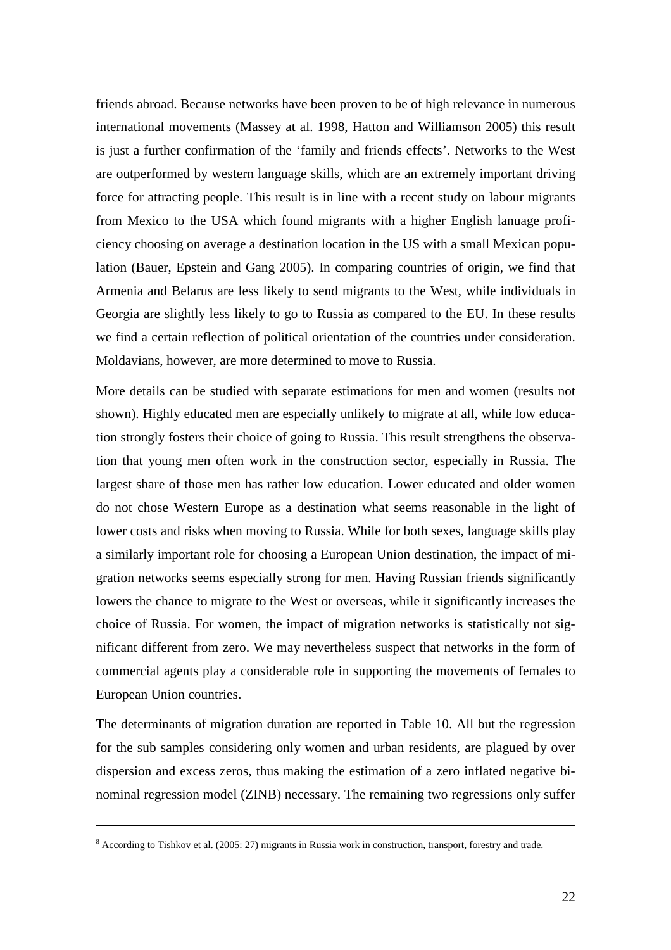friends abroad. Because networks have been proven to be of high relevance in numerous international movements (Massey at al. 1998, Hatton and Williamson 2005) this result is just a further confirmation of the 'family and friends effects'. Networks to the West are outperformed by western language skills, which are an extremely important driving force for attracting people. This result is in line with a recent study on labour migrants from Mexico to the USA which found migrants with a higher English lanuage proficiency choosing on average a destination location in the US with a small Mexican population (Bauer, Epstein and Gang 2005). In comparing countries of origin, we find that Armenia and Belarus are less likely to send migrants to the West, while individuals in Georgia are slightly less likely to go to Russia as compared to the EU. In these results we find a certain reflection of political orientation of the countries under consideration. Moldavians, however, are more determined to move to Russia.

More details can be studied with separate estimations for men and women (results not shown). Highly educated men are especially unlikely to migrate at all, while low education strongly fosters their choice of going to Russia. This result strengthens the observation that young men often work in the construction sector, especially in Russia. The largest share of those men has rather low education. Lower educated and older women do not chose Western Europe as a destination what seems reasonable in the light of lower costs and risks when moving to Russia. While for both sexes, language skills play a similarly important role for choosing a European Union destination, the impact of migration networks seems especially strong for men. Having Russian friends significantly lowers the chance to migrate to the West or overseas, while it significantly increases the choice of Russia. For women, the impact of migration networks is statistically not significant different from zero. We may nevertheless suspect that networks in the form of commercial agents play a considerable role in supporting the movements of females to European Union countries.

The determinants of migration duration are reported in Table 10. All but the regression for the sub samples considering only women and urban residents, are plagued by over dispersion and excess zeros, thus making the estimation of a zero inflated negative binominal regression model (ZINB) necessary. The remaining two regressions only suffer

<u>.</u>

 $8$  According to Tishkov et al. (2005: 27) migrants in Russia work in construction, transport, forestry and trade.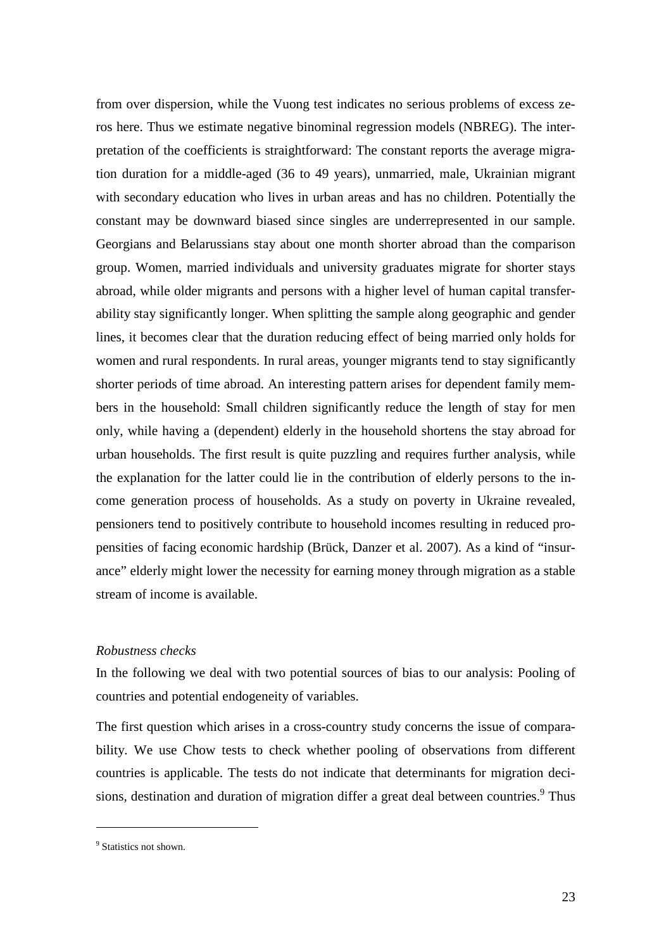from over dispersion, while the Vuong test indicates no serious problems of excess zeros here. Thus we estimate negative binominal regression models (NBREG). The interpretation of the coefficients is straightforward: The constant reports the average migration duration for a middle-aged (36 to 49 years), unmarried, male, Ukrainian migrant with secondary education who lives in urban areas and has no children. Potentially the constant may be downward biased since singles are underrepresented in our sample. Georgians and Belarussians stay about one month shorter abroad than the comparison group. Women, married individuals and university graduates migrate for shorter stays abroad, while older migrants and persons with a higher level of human capital transferability stay significantly longer. When splitting the sample along geographic and gender lines, it becomes clear that the duration reducing effect of being married only holds for women and rural respondents. In rural areas, younger migrants tend to stay significantly shorter periods of time abroad. An interesting pattern arises for dependent family members in the household: Small children significantly reduce the length of stay for men only, while having a (dependent) elderly in the household shortens the stay abroad for urban households. The first result is quite puzzling and requires further analysis, while the explanation for the latter could lie in the contribution of elderly persons to the income generation process of households. As a study on poverty in Ukraine revealed, pensioners tend to positively contribute to household incomes resulting in reduced propensities of facing economic hardship (Brück, Danzer et al. 2007). As a kind of "insurance" elderly might lower the necessity for earning money through migration as a stable stream of income is available.

#### *Robustness checks*

In the following we deal with two potential sources of bias to our analysis: Pooling of countries and potential endogeneity of variables.

The first question which arises in a cross-country study concerns the issue of comparability. We use Chow tests to check whether pooling of observations from different countries is applicable. The tests do not indicate that determinants for migration decisions, destination and duration of migration differ a great deal between countries.<sup>9</sup> Thus

 $\overline{a}$ 

<sup>&</sup>lt;sup>9</sup> Statistics not shown.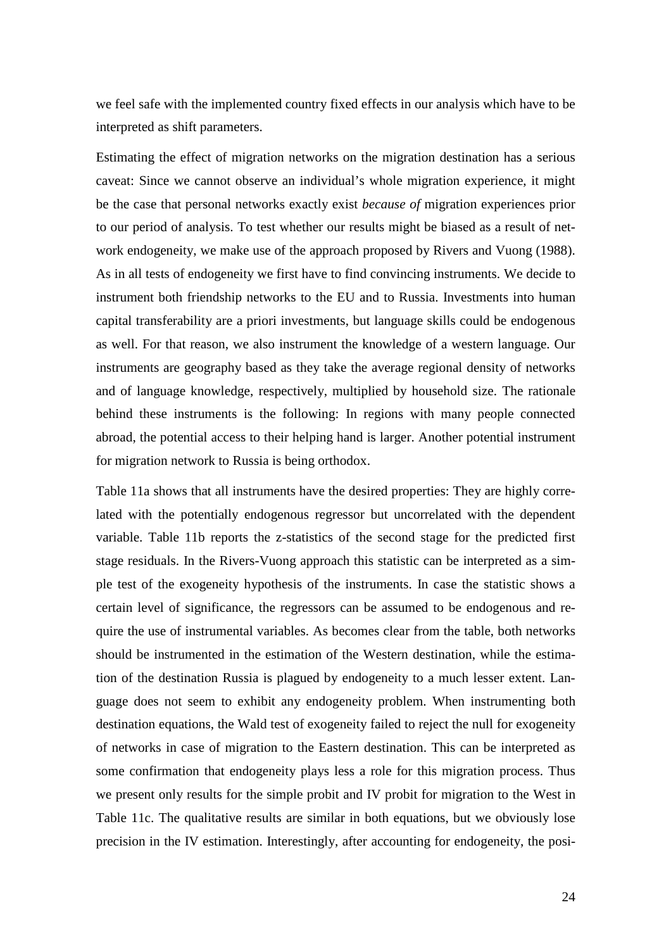we feel safe with the implemented country fixed effects in our analysis which have to be interpreted as shift parameters.

Estimating the effect of migration networks on the migration destination has a serious caveat: Since we cannot observe an individual's whole migration experience, it might be the case that personal networks exactly exist *because of* migration experiences prior to our period of analysis. To test whether our results might be biased as a result of network endogeneity, we make use of the approach proposed by Rivers and Vuong (1988). As in all tests of endogeneity we first have to find convincing instruments. We decide to instrument both friendship networks to the EU and to Russia. Investments into human capital transferability are a priori investments, but language skills could be endogenous as well. For that reason, we also instrument the knowledge of a western language. Our instruments are geography based as they take the average regional density of networks and of language knowledge, respectively, multiplied by household size. The rationale behind these instruments is the following: In regions with many people connected abroad, the potential access to their helping hand is larger. Another potential instrument for migration network to Russia is being orthodox.

Table 11a shows that all instruments have the desired properties: They are highly correlated with the potentially endogenous regressor but uncorrelated with the dependent variable. Table 11b reports the z-statistics of the second stage for the predicted first stage residuals. In the Rivers-Vuong approach this statistic can be interpreted as a simple test of the exogeneity hypothesis of the instruments. In case the statistic shows a certain level of significance, the regressors can be assumed to be endogenous and require the use of instrumental variables. As becomes clear from the table, both networks should be instrumented in the estimation of the Western destination, while the estimation of the destination Russia is plagued by endogeneity to a much lesser extent. Language does not seem to exhibit any endogeneity problem. When instrumenting both destination equations, the Wald test of exogeneity failed to reject the null for exogeneity of networks in case of migration to the Eastern destination. This can be interpreted as some confirmation that endogeneity plays less a role for this migration process. Thus we present only results for the simple probit and IV probit for migration to the West in Table 11c. The qualitative results are similar in both equations, but we obviously lose precision in the IV estimation. Interestingly, after accounting for endogeneity, the posi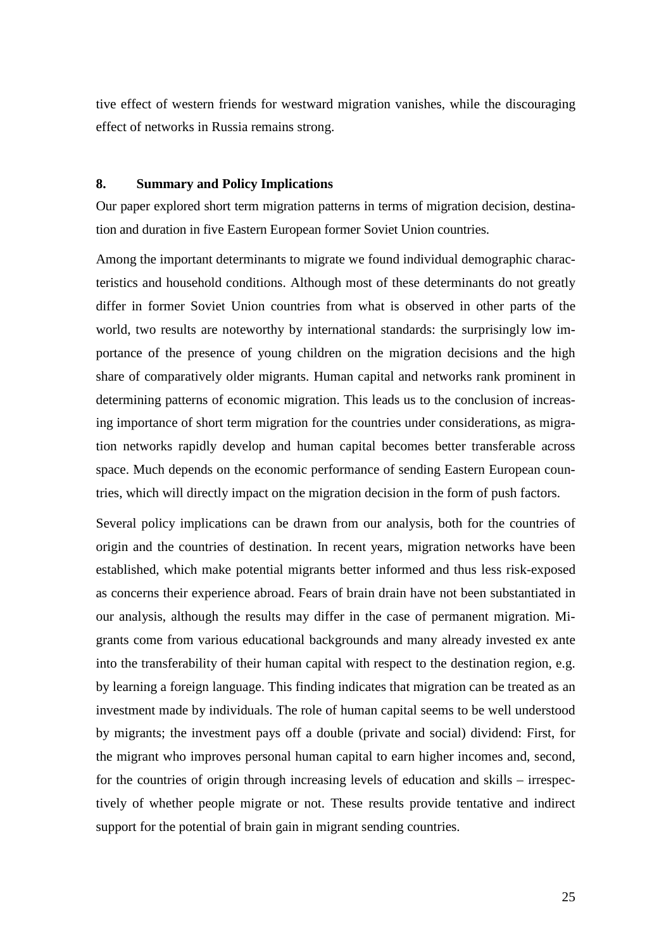tive effect of western friends for westward migration vanishes, while the discouraging effect of networks in Russia remains strong.

## **8. Summary and Policy Implications**

Our paper explored short term migration patterns in terms of migration decision, destination and duration in five Eastern European former Soviet Union countries.

Among the important determinants to migrate we found individual demographic characteristics and household conditions. Although most of these determinants do not greatly differ in former Soviet Union countries from what is observed in other parts of the world, two results are noteworthy by international standards: the surprisingly low importance of the presence of young children on the migration decisions and the high share of comparatively older migrants. Human capital and networks rank prominent in determining patterns of economic migration. This leads us to the conclusion of increasing importance of short term migration for the countries under considerations, as migration networks rapidly develop and human capital becomes better transferable across space. Much depends on the economic performance of sending Eastern European countries, which will directly impact on the migration decision in the form of push factors.

Several policy implications can be drawn from our analysis, both for the countries of origin and the countries of destination. In recent years, migration networks have been established, which make potential migrants better informed and thus less risk-exposed as concerns their experience abroad. Fears of brain drain have not been substantiated in our analysis, although the results may differ in the case of permanent migration. Migrants come from various educational backgrounds and many already invested ex ante into the transferability of their human capital with respect to the destination region, e.g. by learning a foreign language. This finding indicates that migration can be treated as an investment made by individuals. The role of human capital seems to be well understood by migrants; the investment pays off a double (private and social) dividend: First, for the migrant who improves personal human capital to earn higher incomes and, second, for the countries of origin through increasing levels of education and skills – irrespectively of whether people migrate or not. These results provide tentative and indirect support for the potential of brain gain in migrant sending countries.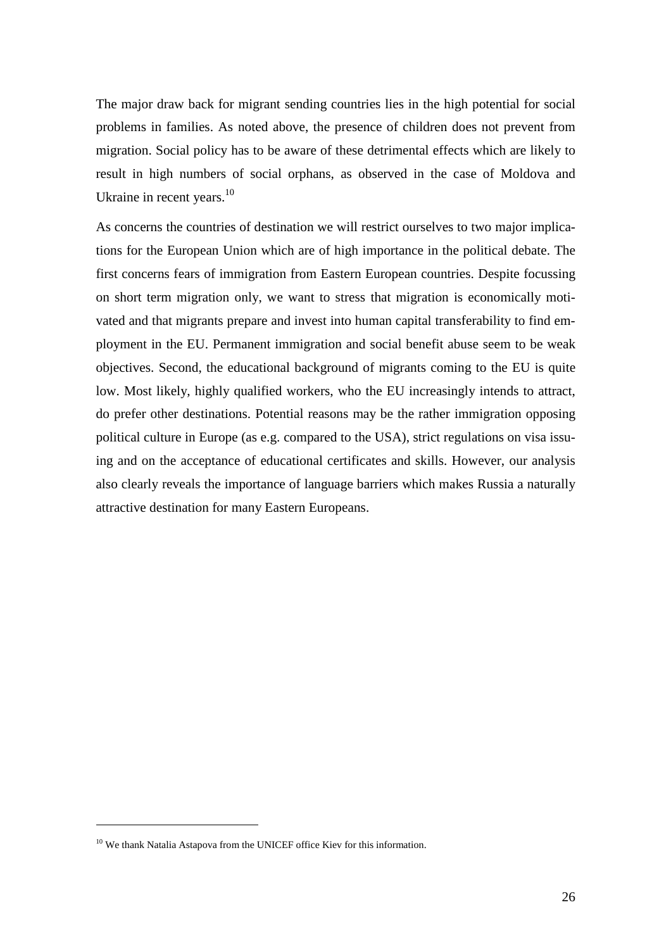The major draw back for migrant sending countries lies in the high potential for social problems in families. As noted above, the presence of children does not prevent from migration. Social policy has to be aware of these detrimental effects which are likely to result in high numbers of social orphans, as observed in the case of Moldova and Ukraine in recent years.<sup>10</sup>

As concerns the countries of destination we will restrict ourselves to two major implications for the European Union which are of high importance in the political debate. The first concerns fears of immigration from Eastern European countries. Despite focussing on short term migration only, we want to stress that migration is economically motivated and that migrants prepare and invest into human capital transferability to find employment in the EU. Permanent immigration and social benefit abuse seem to be weak objectives. Second, the educational background of migrants coming to the EU is quite low. Most likely, highly qualified workers, who the EU increasingly intends to attract, do prefer other destinations. Potential reasons may be the rather immigration opposing political culture in Europe (as e.g. compared to the USA), strict regulations on visa issuing and on the acceptance of educational certificates and skills. However, our analysis also clearly reveals the importance of language barriers which makes Russia a naturally attractive destination for many Eastern Europeans.

 $\overline{a}$ 

<sup>&</sup>lt;sup>10</sup> We thank Natalia Astapova from the UNICEF office Kiev for this information.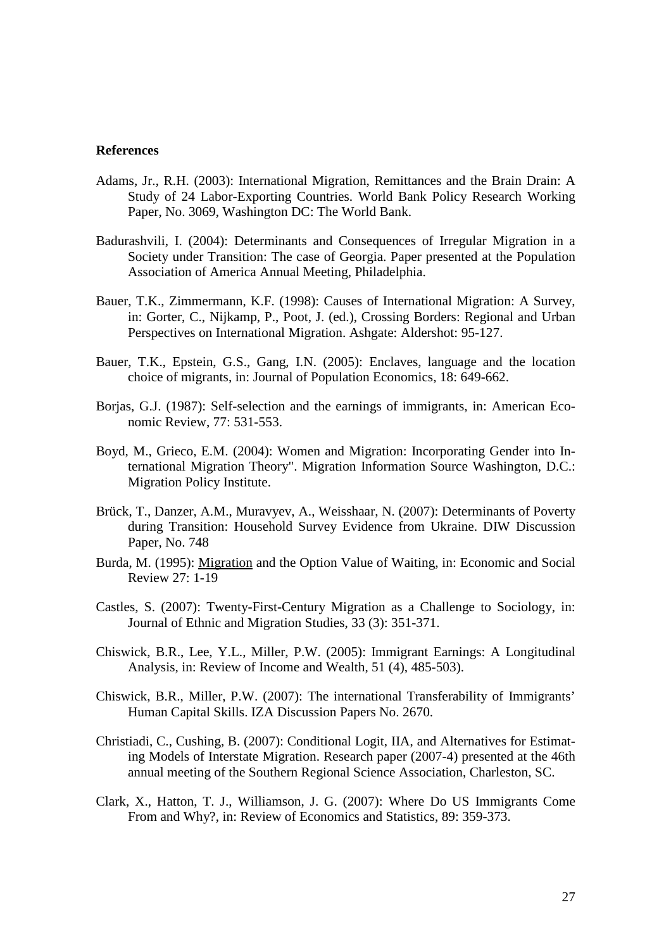#### **References**

- Adams, Jr., R.H. (2003): International Migration, Remittances and the Brain Drain: A Study of 24 Labor-Exporting Countries. World Bank Policy Research Working Paper, No. 3069, Washington DC: The World Bank.
- Badurashvili, I. (2004): Determinants and Consequences of Irregular Migration in a Society under Transition: The case of Georgia. Paper presented at the Population Association of America Annual Meeting, Philadelphia.
- Bauer, T.K., Zimmermann, K.F. (1998): Causes of International Migration: A Survey, in: Gorter, C., Nijkamp, P., Poot, J. (ed.), Crossing Borders: Regional and Urban Perspectives on International Migration. Ashgate: Aldershot: 95-127.
- Bauer, T.K., Epstein, G.S., Gang, I.N. (2005): Enclaves, language and the location choice of migrants, in: Journal of Population Economics, 18: 649-662.
- Borjas, G.J. (1987): Self-selection and the earnings of immigrants, in: American Economic Review, 77: 531-553.
- Boyd, M., Grieco, E.M. (2004): Women and Migration: Incorporating Gender into International Migration Theory". Migration Information Source Washington, D.C.: Migration Policy Institute.
- Brück, T., Danzer, A.M., Muravyev, A., Weisshaar, N. (2007): Determinants of Poverty during Transition: Household Survey Evidence from Ukraine. DIW Discussion Paper, No. 748
- Burda, M. (1995): Migration and the Option Value of Waiting, in: Economic and Social Review 27: 1-19
- Castles, S. (2007): Twenty-First-Century Migration as a Challenge to Sociology, in: Journal of Ethnic and Migration Studies, 33 (3): 351-371.
- Chiswick, B.R., Lee, Y.L., Miller, P.W. (2005): Immigrant Earnings: A Longitudinal Analysis, in: Review of Income and Wealth, 51 (4), 485-503).
- Chiswick, B.R., Miller, P.W. (2007): The international Transferability of Immigrants' Human Capital Skills. IZA Discussion Papers No. 2670.
- Christiadi, C., Cushing, B. (2007): Conditional Logit, IIA, and Alternatives for Estimating Models of Interstate Migration. Research paper (2007-4) presented at the 46th annual meeting of the Southern Regional Science Association, Charleston, SC.
- Clark, X., Hatton, T. J., Williamson, J. G. (2007): Where Do US Immigrants Come From and Why?, in: Review of Economics and Statistics, 89: 359-373.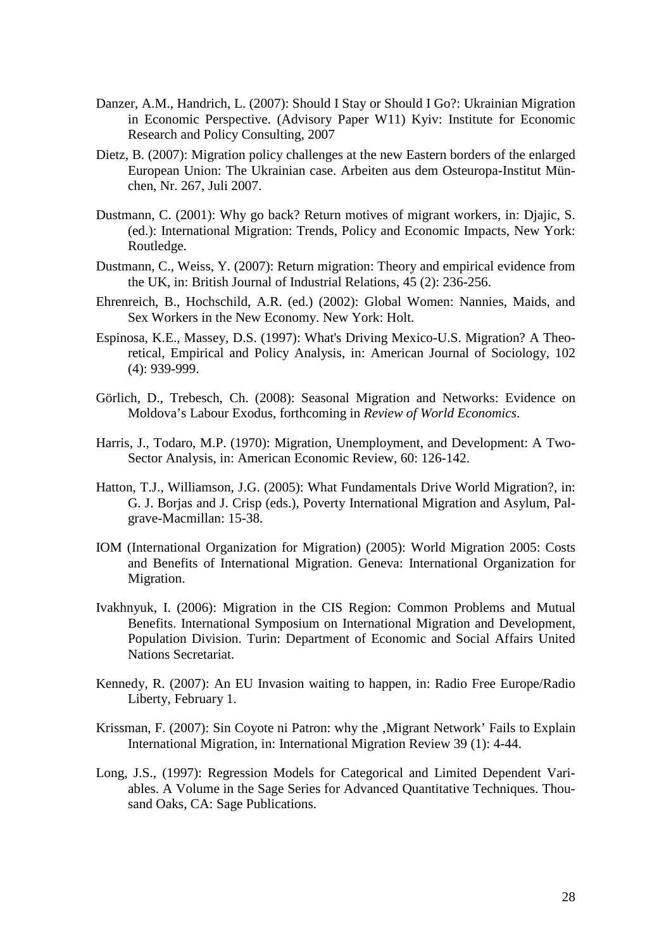- Danzer, A.M., Handrich, L. (2007): Should I Stay or Should I Go?: Ukrainian Migration in Economic Perspective. (Advisory Paper W11) Kyiv: Institute for Economic Research and Policy Consulting, 2007
- Dietz, B. (2007): Migration policy challenges at the new Eastern borders of the enlarged European Union: The Ukrainian case. Arbeiten aus dem Osteuropa-Institut München, Nr. 267, Juli 2007.
- Dustmann, C. (2001): Why go back? Return motives of migrant workers, in: Djajic, S. (ed.): International Migration: Trends, Policy and Economic Impacts, New York: Routledge.
- Dustmann, C., Weiss, Y. (2007): Return migration: Theory and empirical evidence from the UK, in: British Journal of Industrial Relations, 45 (2): 236-256.
- Ehrenreich, B., Hochschild, A.R. (ed.) (2002): Global Women: Nannies, Maids, and Sex Workers in the New Economy. New York: Holt.
- Espinosa, K.E., Massey, D.S. (1997): What's Driving Mexico-U.S. Migration? A Theoretical, Empirical and Policy Analysis, in: American Journal of Sociology, 102 (4): 939-999.
- Görlich, D., Trebesch, Ch. (2008): Seasonal Migration and Networks: Evidence on Moldova's Labour Exodus, forthcoming in *Review of World Economics*.
- Harris, J., Todaro, M.P. (1970): Migration, Unemployment, and Development: A Two-Sector Analysis, in: American Economic Review, 60: 126-142.
- Hatton, T.J., Williamson, J.G. (2005): What Fundamentals Drive World Migration?, in: G. J. Borjas and J. Crisp (eds.), Poverty International Migration and Asylum, Palgrave-Macmillan: 15-38.
- IOM (International Organization for Migration) (2005): World Migration 2005: Costs and Benefits of International Migration. Geneva: International Organization for Migration.
- Ivakhnyuk, I. (2006): Migration in the CIS Region: Common Problems and Mutual Benefits. International Symposium on International Migration and Development, Population Division. Turin: Department of Economic and Social Affairs United Nations Secretariat.
- Kennedy, R. (2007): An EU Invasion waiting to happen, in: Radio Free Europe/Radio Liberty, February 1.
- Krissman, F. (2007): Sin Coyote ni Patron: why the , Migrant Network' Fails to Explain International Migration, in: International Migration Review 39 (1): 4-44.
- Long, J.S., (1997): Regression Models for Categorical and Limited Dependent Variables. A Volume in the Sage Series for Advanced Quantitative Techniques. Thousand Oaks, CA: Sage Publications.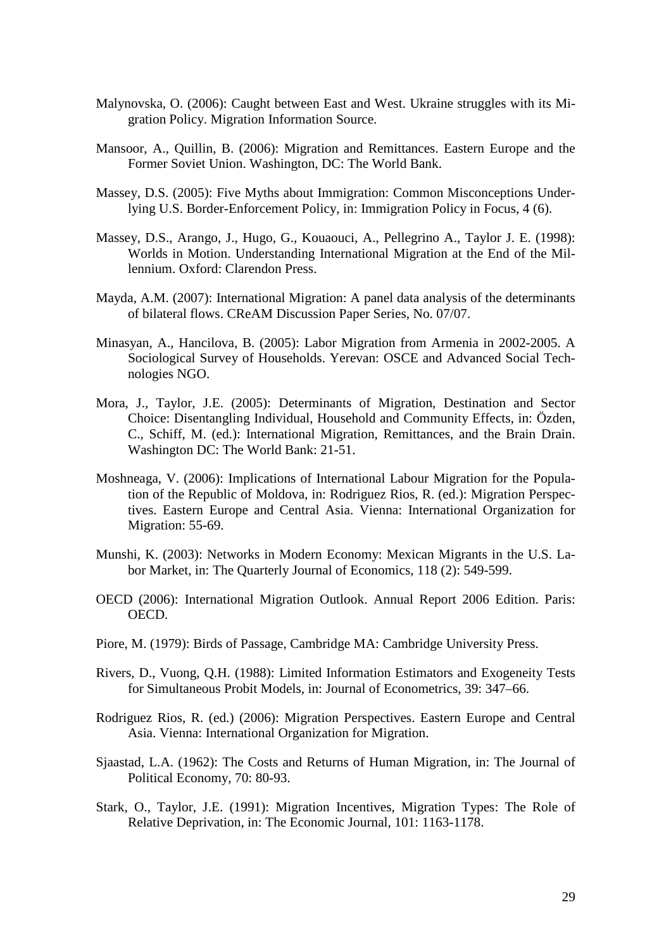- Malynovska, O. (2006): Caught between East and West. Ukraine struggles with its Migration Policy. Migration Information Source.
- Mansoor, A., Quillin, B. (2006): Migration and Remittances. Eastern Europe and the Former Soviet Union. Washington, DC: The World Bank.
- Massey, D.S. (2005): Five Myths about Immigration: Common Misconceptions Underlying U.S. Border-Enforcement Policy, in: Immigration Policy in Focus, 4 (6).
- Massey, D.S., Arango, J., Hugo, G., Kouaouci, A., Pellegrino A., Taylor J. E. (1998): Worlds in Motion. Understanding International Migration at the End of the Millennium. Oxford: Clarendon Press.
- Mayda, A.M. (2007): International Migration: A panel data analysis of the determinants of bilateral flows. CReAM Discussion Paper Series, No. 07/07.
- Minasyan, A., Hancilova, B. (2005): Labor Migration from Armenia in 2002-2005. A Sociological Survey of Households. Yerevan: OSCE and Advanced Social Technologies NGO.
- Mora, J., Taylor, J.E. (2005): Determinants of Migration, Destination and Sector Choice: Disentangling Individual, Household and Community Effects, in: Özden, C., Schiff, M. (ed.): International Migration, Remittances, and the Brain Drain. Washington DC: The World Bank: 21-51.
- Moshneaga, V. (2006): Implications of International Labour Migration for the Population of the Republic of Moldova, in: Rodriguez Rios, R. (ed.): Migration Perspectives. Eastern Europe and Central Asia. Vienna: International Organization for Migration: 55-69.
- Munshi, K. (2003): Networks in Modern Economy: Mexican Migrants in the U.S. Labor Market, in: The Quarterly Journal of Economics, 118 (2): 549-599.
- OECD (2006): International Migration Outlook. Annual Report 2006 Edition. Paris: OECD.
- Piore, M. (1979): Birds of Passage, Cambridge MA: Cambridge University Press.
- Rivers, D., Vuong, Q.H. (1988): Limited Information Estimators and Exogeneity Tests for Simultaneous Probit Models, in: Journal of Econometrics, 39: 347–66.
- Rodriguez Rios, R. (ed.) (2006): Migration Perspectives. Eastern Europe and Central Asia. Vienna: International Organization for Migration.
- Sjaastad, L.A. (1962): The Costs and Returns of Human Migration, in: The Journal of Political Economy, 70: 80-93.
- Stark, O., Taylor, J.E. (1991): Migration Incentives, Migration Types: The Role of Relative Deprivation, in: The Economic Journal, 101: 1163-1178.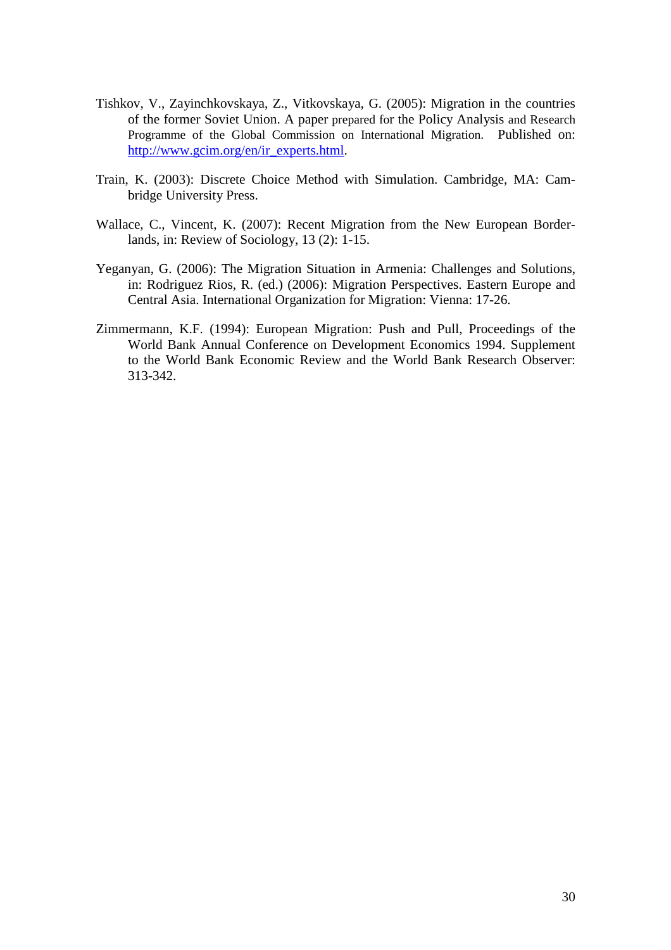- Tishkov, V., Zayinchkovskaya, Z., Vitkovskaya, G. (2005): Migration in the countries of the former Soviet Union. A paper prepared for the Policy Analysis and Research Programme of the Global Commission on International Migration. Published on: http://www.gcim.org/en/ir\_experts.html.
- Train, K. (2003): Discrete Choice Method with Simulation. Cambridge, MA: Cambridge University Press.
- Wallace, C., Vincent, K. (2007): Recent Migration from the New European Borderlands, in: Review of Sociology, 13 (2): 1-15.
- Yeganyan, G. (2006): The Migration Situation in Armenia: Challenges and Solutions, in: Rodriguez Rios, R. (ed.) (2006): Migration Perspectives. Eastern Europe and Central Asia. International Organization for Migration: Vienna: 17-26.
- Zimmermann, K.F. (1994): European Migration: Push and Pull, Proceedings of the World Bank Annual Conference on Development Economics 1994. Supplement to the World Bank Economic Review and the World Bank Research Observer: 313-342.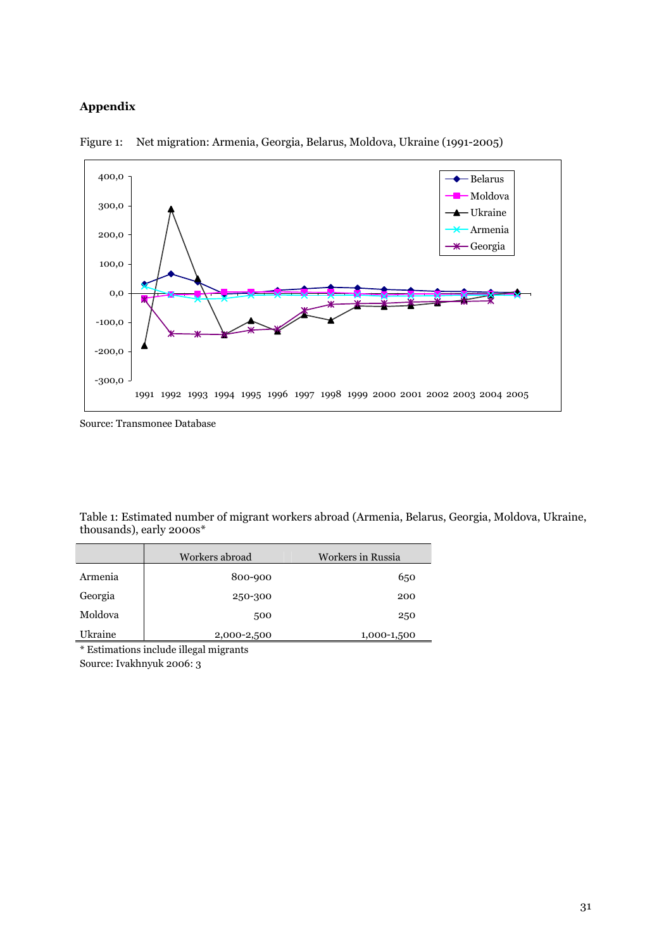# Appendix



Figure 1: Net migration: Armenia, Georgia, Belarus, Moldova, Ukraine (1991-2005)

Table 1: Estimated number of migrant workers abroad (Armenia, Belarus, Georgia, Moldova, Ukraine, thousands), early 2000s\*

|         | Workers abroad | Workers in Russia |
|---------|----------------|-------------------|
| Armenia | 800-900        | 650               |
| Georgia | 250-300        | 200               |
| Moldova | 500            | 250               |
| Ukraine | 2,000-2,500    | 1,000-1,500       |

\* Estimations include illegal migrants Source: Ivakhnyuk 2006: 3

Source: Transmonee Database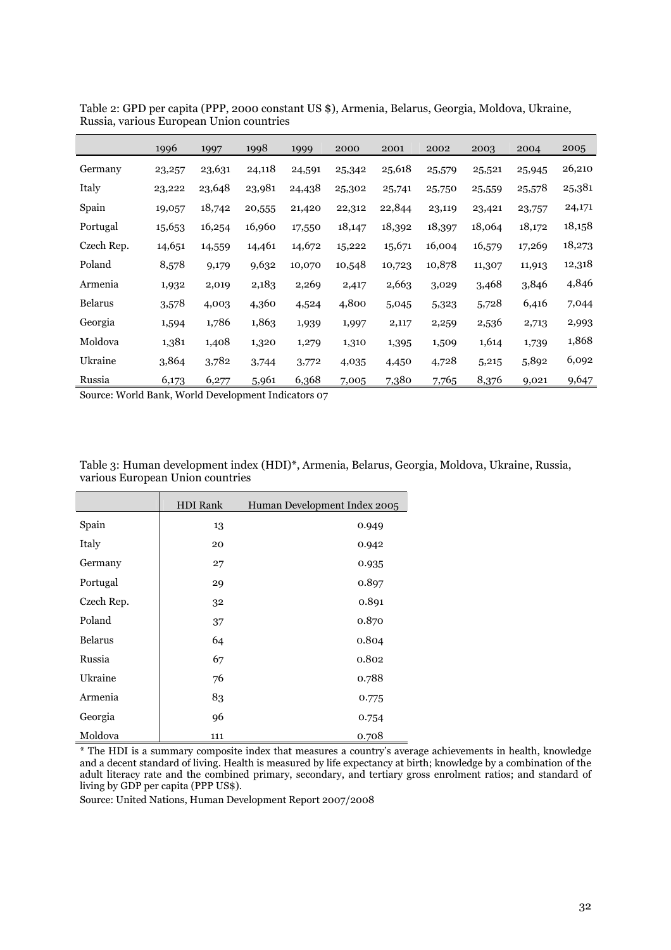|                | 1996   | 1997   | 1998   | 1999   | 2000   | 2001   | 2002   | 2003   | 2004   | 2005   |
|----------------|--------|--------|--------|--------|--------|--------|--------|--------|--------|--------|
| Germany        | 23,257 | 23,631 | 24,118 | 24,591 | 25,342 | 25,618 | 25,579 | 25,521 | 25,945 | 26,210 |
| Italy          | 23,222 | 23,648 | 23,981 | 24,438 | 25,302 | 25,741 | 25,750 | 25,559 | 25,578 | 25,381 |
| Spain          | 19,057 | 18,742 | 20,555 | 21,420 | 22,312 | 22,844 | 23,119 | 23,421 | 23,757 | 24,171 |
| Portugal       | 15,653 | 16,254 | 16,960 | 17,550 | 18,147 | 18,392 | 18,397 | 18,064 | 18,172 | 18,158 |
| Czech Rep.     | 14,651 | 14,559 | 14,461 | 14,672 | 15,222 | 15,671 | 16,004 | 16,579 | 17,269 | 18,273 |
| Poland         | 8,578  | 9,179  | 9,632  | 10,070 | 10,548 | 10,723 | 10,878 | 11,307 | 11,913 | 12,318 |
| Armenia        | 1,932  | 2,019  | 2,183  | 2,269  | 2,417  | 2,663  | 3,029  | 3,468  | 3,846  | 4,846  |
| <b>Belarus</b> | 3,578  | 4,003  | 4,360  | 4,524  | 4,800  | 5,045  | 5,323  | 5,728  | 6,416  | 7,044  |
| Georgia        | 1,594  | 1,786  | 1,863  | 1,939  | 1,997  | 2,117  | 2,259  | 2,536  | 2,713  | 2,993  |
| Moldova        | 1,381  | 1,408  | 1,320  | 1,279  | 1,310  | 1,395  | 1,509  | 1,614  | 1,739  | 1,868  |
| Ukraine        | 3,864  | 3,782  | 3,744  | 3,772  | 4,035  | 4,450  | 4,728  | 5,215  | 5,892  | 6,092  |
| Russia         | 6,173  | 6,277  | 5,961  | 6,368  | 7,005  | 7,380  | 7,765  | 8,376  | 9,021  | 9,647  |

Table 2: GPD per capita (PPP, 2000 constant US \$), Armenia, Belarus, Georgia, Moldova, Ukraine, Russia, various European Union countries

Source: World Bank, World Development Indicators 07

| Table 3: Human development index (HDI)*, Armenia, Belarus, Georgia, Moldova, Ukraine, Russia, |  |  |
|-----------------------------------------------------------------------------------------------|--|--|
| various European Union countries                                                              |  |  |

|                | <b>HDI</b> Rank | Human Development Index 2005 |
|----------------|-----------------|------------------------------|
| Spain          | 13              | 0.949                        |
| Italy          | 20              | 0.942                        |
| Germany        | 27              | 0.935                        |
| Portugal       | 29              | 0.897                        |
| Czech Rep.     | 32              | 0.891                        |
| Poland         | 37              | 0.870                        |
| <b>Belarus</b> | 64              | 0.804                        |
| Russia         | 67              | 0.802                        |
| Ukraine        | 76              | 0.788                        |
| Armenia        | 83              | 0.775                        |
| Georgia        | 96              | 0.754                        |
| Moldova        | 111             | 0.708                        |

\* The HDI is a summary composite index that measures a country's average achievements in health, knowledge and a decent standard of living. Health is measured by life expectancy at birth; knowledge by a combination of the adult literacy rate and the combined primary, secondary, and tertiary gross enrolment ratios; and standard of living by GDP per capita (PPP US\$).

Source: United Nations, Human Development Report 2007/2008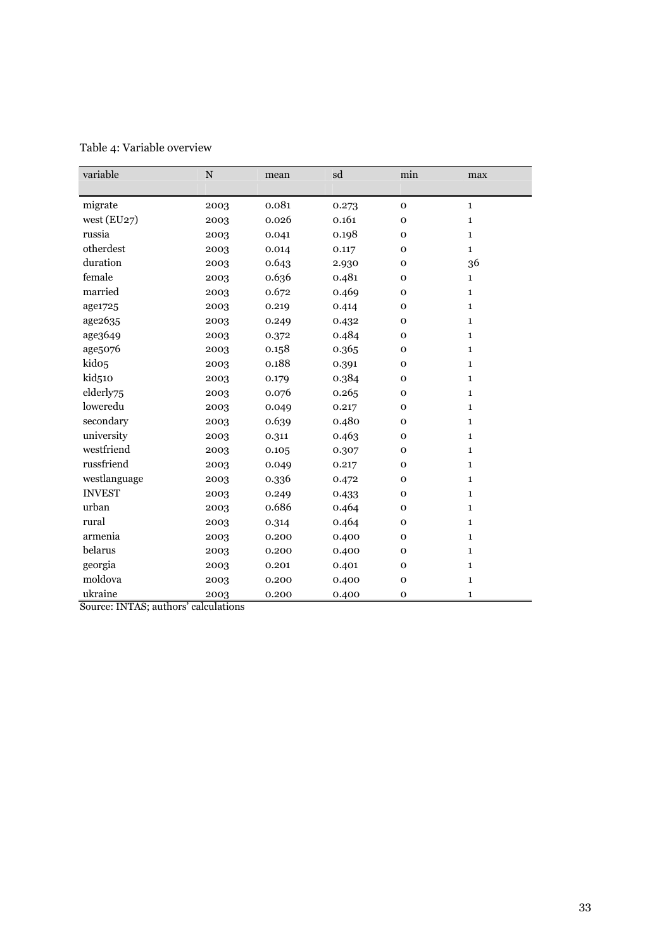| variable          | N    | mean  | sd    | min          | max          |
|-------------------|------|-------|-------|--------------|--------------|
|                   |      |       |       |              |              |
| migrate           | 2003 | 0.081 | 0.273 | $\mathbf{o}$ | $\mathbf{1}$ |
| west $(EU27)$     | 2003 | 0.026 | 0.161 | $\mathbf{O}$ | $\mathbf{1}$ |
| russia            | 2003 | 0.041 | 0.198 | $\mathbf 0$  | $\mathbf{1}$ |
| otherdest         | 2003 | 0.014 | 0.117 | $\mathbf{O}$ | $\mathbf{1}$ |
| duration          | 2003 | 0.643 | 2.930 | $\mathbf{o}$ | 36           |
| female            | 2003 | 0.636 | 0.481 | $\mathbf{O}$ | $\mathbf{1}$ |
| married           | 2003 | 0.672 | 0.469 | $\mathbf{o}$ | $\mathbf{1}$ |
| age1725           | 2003 | 0.219 | 0.414 | $\mathbf{O}$ | $\mathbf{1}$ |
| age2635           | 2003 | 0.249 | 0.432 | $\mathbf{o}$ | $\mathbf{1}$ |
| age3649           | 2003 | 0.372 | 0.484 | $\mathbf{O}$ | $\mathbf{1}$ |
| age5076           | 2003 | 0.158 | 0.365 | $\mathbf{o}$ | $\mathbf{1}$ |
| kido <sub>5</sub> | 2003 | 0.188 | 0.391 | $\mathbf 0$  | $\mathbf{1}$ |
| kid510            | 2003 | 0.179 | 0.384 | $\mathbf 0$  | $\mathbf{1}$ |
| elderly75         | 2003 | 0.076 | 0.265 | 0            | $\mathbf{1}$ |
| loweredu          | 2003 | 0.049 | 0.217 | $\mathbf 0$  | $\mathbf{1}$ |
| secondary         | 2003 | 0.639 | 0.480 | $\mathbf 0$  | $\mathbf{1}$ |
| university        | 2003 | 0.311 | 0.463 | $\mathbf{O}$ | $\mathbf{1}$ |
| westfriend        | 2003 | 0.105 | 0.307 | $\mathbf{O}$ | $\mathbf{1}$ |
| russfriend        | 2003 | 0.049 | 0.217 | $\mathbf{O}$ | $\mathbf{1}$ |
| westlanguage      | 2003 | 0.336 | 0.472 | $\mathbf{O}$ | $\mathbf{1}$ |
| <b>INVEST</b>     | 2003 | 0.249 | 0.433 | $\mathbf 0$  | $\mathbf{1}$ |
| urban             | 2003 | 0.686 | 0.464 | $\mathbf{O}$ | $\mathbf{1}$ |
| rural             | 2003 | 0.314 | 0.464 | $\mathbf 0$  | $\mathbf{1}$ |
| armenia           | 2003 | 0.200 | 0.400 | $\mathbf{O}$ | $\mathbf{1}$ |
| belarus           | 2003 | 0.200 | 0.400 | $\mathbf 0$  | $\mathbf{1}$ |
| georgia           | 2003 | 0.201 | 0.401 | $\mathbf{O}$ | $\mathbf{1}$ |
| moldova           | 2003 | 0.200 | 0.400 | $\mathbf 0$  | $\mathbf{1}$ |
| ukraine           | 2003 | 0.200 | 0.400 | $\mathbf{O}$ | $\mathbf{1}$ |

Table 4: Variable overview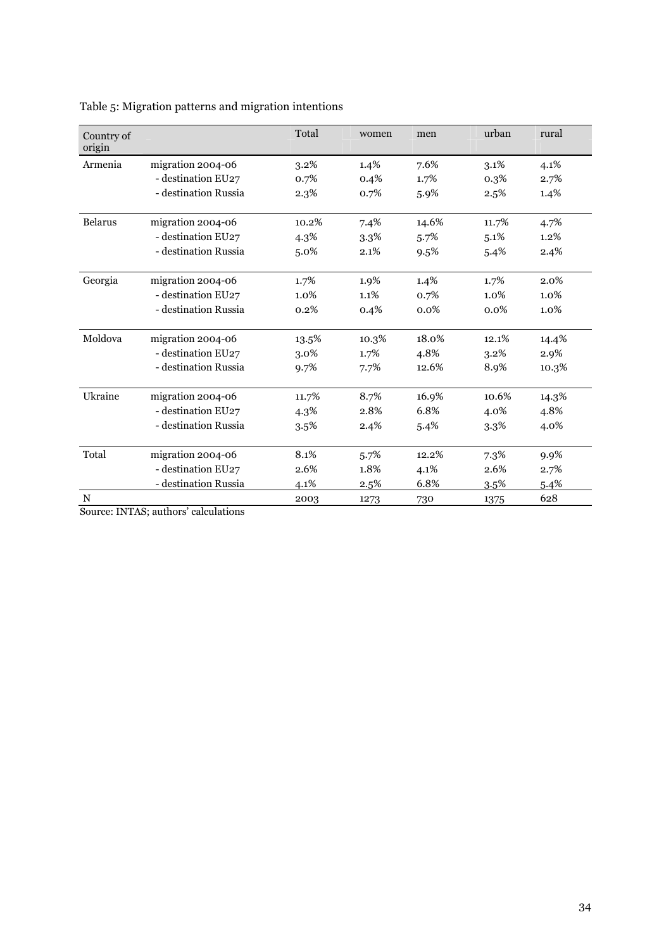| Country of<br>origin |                      | Total   | women | men     | urban   | rural   |
|----------------------|----------------------|---------|-------|---------|---------|---------|
| Armenia              | migration 2004-06    | 3.2%    | 1.4%  | 7.6%    | 3.1%    | 4.1%    |
|                      | - destination EU27   | 0.7%    | 0.4%  | 1.7%    | 0.3%    | 2.7%    |
|                      | - destination Russia | 2.3%    | 0.7%  | 5.9%    | 2.5%    | 1.4%    |
| <b>Belarus</b>       | migration 2004-06    | 10.2%   | 7.4%  | 14.6%   | 11.7%   | 4.7%    |
|                      | - destination EU27   | 4.3%    | 3.3%  | 5.7%    | 5.1%    | 1.2%    |
|                      | - destination Russia | 5.0%    | 2.1%  | 9.5%    | 5.4%    | 2.4%    |
| Georgia              | migration 2004-06    | 1.7%    | 1.9%  | 1.4%    | 1.7%    | 2.0%    |
|                      | - destination EU27   | $1.0\%$ | 1.1%  | 0.7%    | $1.0\%$ | $1.0\%$ |
|                      | - destination Russia | 0.2%    | 0.4%  | $0.0\%$ | 0.0%    | $1.0\%$ |
| Moldova              | migration 2004-06    | 13.5%   | 10.3% | 18.0%   | 12.1%   | 14.4%   |
|                      | - destination EU27   | 3.0%    | 1.7%  | 4.8%    | 3.2%    | 2.9%    |
|                      | - destination Russia | 9.7%    | 7.7%  | 12.6%   | 8.9%    | 10.3%   |
| Ukraine              | migration 2004-06    | 11.7%   | 8.7%  | 16.9%   | 10.6%   | 14.3%   |
|                      | - destination EU27   | 4.3%    | 2.8%  | 6.8%    | 4.0%    | 4.8%    |
|                      | - destination Russia | 3.5%    | 2.4%  | 5.4%    | 3.3%    | 4.0%    |
| Total                | migration 2004-06    | 8.1%    | 5.7%  | 12.2%   | 7.3%    | 9.9%    |
|                      | - destination EU27   | 2.6%    | 1.8%  | 4.1%    | 2.6%    | 2.7%    |
|                      | - destination Russia | 4.1%    | 2.5%  | 6.8%    | 3.5%    | 5.4%    |
| $\frac{N}{2}$        |                      | 2003    | 1273  | 730     | 1375    | 628     |

Table 5: Migration patterns and migration intentions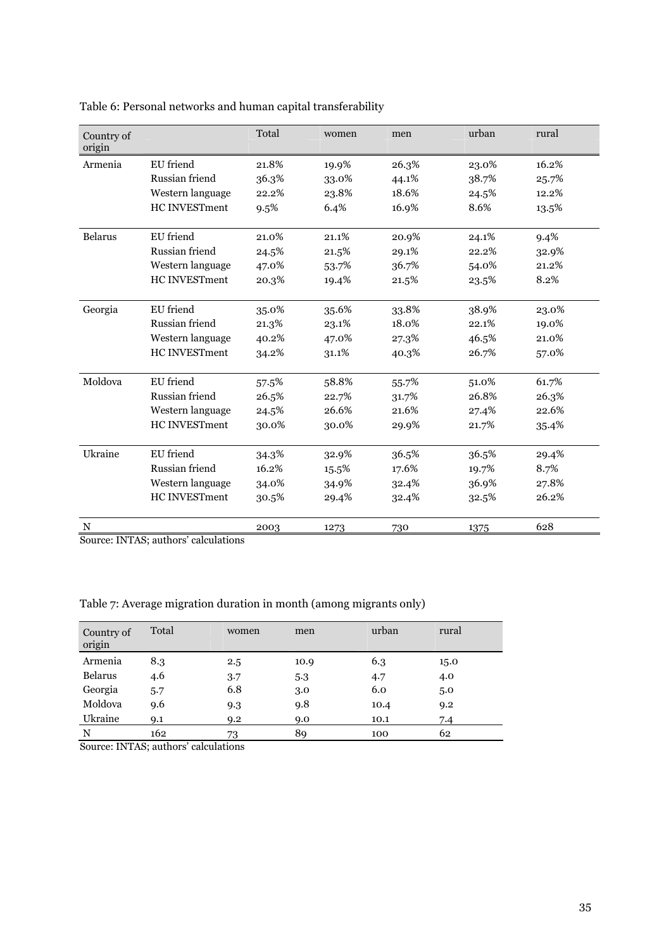Table 6: Personal networks and human capital transferability

| Country of<br>origin |                                      | Total | women | men   | urban | rural |
|----------------------|--------------------------------------|-------|-------|-------|-------|-------|
| Armenia              | EU friend                            | 21.8% | 19.9% | 26.3% | 23.0% | 16.2% |
|                      | Russian friend                       | 36.3% | 33.0% | 44.1% | 38.7% | 25.7% |
|                      | Western language                     | 22.2% | 23.8% | 18.6% | 24.5% | 12.2% |
|                      | <b>HC INVESTment</b>                 | 9.5%  | 6.4%  | 16.9% | 8.6%  | 13.5% |
| <b>Belarus</b>       | EU friend                            | 21.0% | 21.1% | 20.9% | 24.1% | 9.4%  |
|                      | Russian friend                       | 24.5% | 21.5% | 29.1% | 22.2% | 32.9% |
|                      | Western language                     | 47.0% | 53.7% | 36.7% | 54.0% | 21.2% |
|                      | HC INVESTment                        | 20.3% | 19.4% | 21.5% | 23.5% | 8.2%  |
| Georgia              | EU friend                            | 35.0% | 35.6% | 33.8% | 38.9% | 23.0% |
|                      | Russian friend                       | 21.3% | 23.1% | 18.0% | 22.1% | 19.0% |
|                      | Western language                     | 40.2% | 47.0% | 27.3% | 46.5% | 21.0% |
|                      | <b>HC INVESTment</b>                 | 34.2% | 31.1% | 40.3% | 26.7% | 57.0% |
| Moldova              | EU friend                            | 57.5% | 58.8% | 55.7% | 51.0% | 61.7% |
|                      | Russian friend                       | 26.5% | 22.7% | 31.7% | 26.8% | 26.3% |
|                      | Western language                     | 24.5% | 26.6% | 21.6% | 27.4% | 22.6% |
|                      | <b>HC INVESTment</b>                 | 30.0% | 30.0% | 29.9% | 21.7% | 35.4% |
| Ukraine              | EU friend                            | 34.3% | 32.9% | 36.5% | 36.5% | 29.4% |
|                      | Russian friend                       | 16.2% | 15.5% | 17.6% | 19.7% | 8.7%  |
|                      | Western language                     | 34.0% | 34.9% | 32.4% | 36.9% | 27.8% |
|                      | <b>HC INVESTment</b>                 | 30.5% | 29.4% | 32.4% | 32.5% | 26.2% |
| N                    | Source: INTAS: authors' calculations | 2003  | 1273  | 730   | 1375  | 628   |

Source: INTAS; authors' calculations

Table 7: Average migration duration in month (among migrants only)

| Country of<br>origin | Total | women | men  | urban | rural |
|----------------------|-------|-------|------|-------|-------|
| Armenia              | 8.3   | 2.5   | 10.9 | 6.3   | 15.0  |
| <b>Belarus</b>       | 4.6   | 3.7   | 5.3  | 4.7   | 4.0   |
| Georgia              | 5.7   | 6.8   | 3.0  | 6.0   | 5.0   |
| Moldova              | 9.6   | 9.3   | 9.8  | 10.4  | 9.2   |
| Ukraine              | 9.1   | 9.2   | 9.0  | 10.1  | 7.4   |
| N                    | 162   | 73    | 89   | 100   | 62    |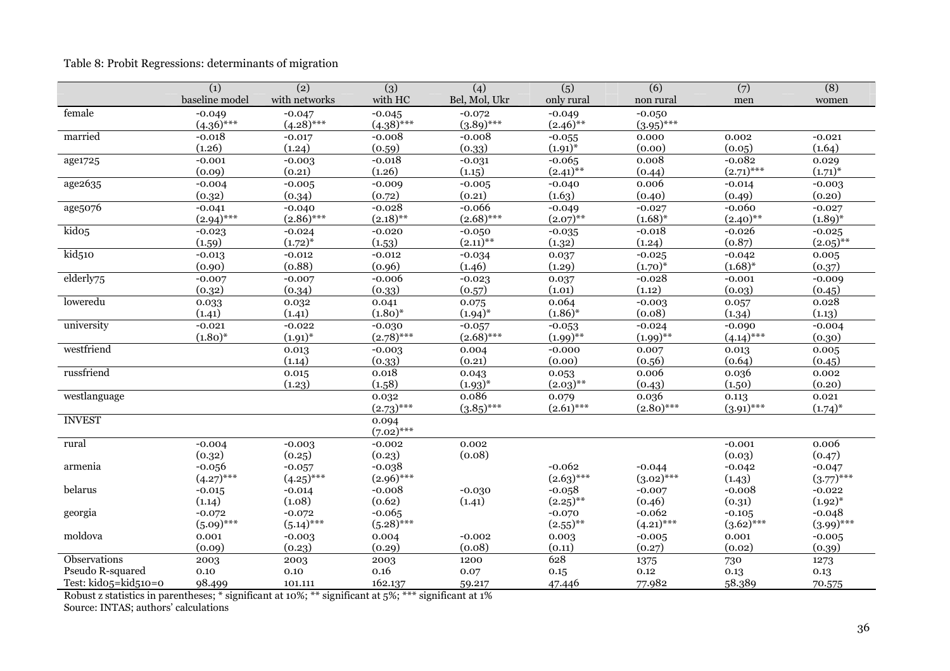# Table 8: Probit Regressions: determinants of migration

|                            | (1)                | (2)                | (3)                | (4)           | (5)                      | (6)                | (7)                | (8)                      |
|----------------------------|--------------------|--------------------|--------------------|---------------|--------------------------|--------------------|--------------------|--------------------------|
|                            | baseline model     | with networks      | with HC            | Bel, Mol, Ukr | only rural               | non rural          | men                | women                    |
| female                     | $-0.049$           | $-0.047$           | $-0.045$           | $-0.072$      | $-0.049$                 | $-0.050$           |                    |                          |
|                            | $(4.36)$ ***       | $(4.28)$ ***       | $(4.38)$ ***       | $(3.89)$ ***  | $(2.46)$ **              | $(3.95)$ ***       |                    |                          |
| married                    | $-0.018$           | $-0.017$           | $-0.008$           | $-0.008$      | $-0.055$                 | 0.000              | 0.002              | $-0.021$                 |
|                            | (1.26)             | (1.24)             | (0.59)             | (0.33)        | $(1.91)^{*}$             | (0.00)             | (0.05)             | (1.64)                   |
| age1725                    | $-0.001$           | $-0.003$           | $-0.018$           | $-0.031$      | $-0.065$                 | 0.008              | $-0.082$           | 0.029                    |
|                            | (0.09)             | (0.21)             | (1.26)             | (1.15)        | $(2.41)$ **              | (0.44)             | $(2.71)$ ***       | $(1.71)^{*}$             |
| age2635                    | $-0.004$           | $-0.005$           | $-0.009$           | $-0.005$      | $-0.040$                 | 0.006              | $-0.014$           | $-0.003$                 |
|                            | (0.32)             | (0.34)             | (0.72)             | (0.21)        | (1.63)                   | (0.40)             | (0.49)             | (0.20)                   |
| age5076                    | $-0.041$           | $-0.040$           | $-0.028$           | $-0.066$      | $-0.049$                 | $-0.027$           | $-0.060$           | $-0.027$                 |
|                            | $(2.94)$ ***       | $(2.86)$ ***       | $(2.18)$ **        | $(2.68)$ ***  | $(2.07)$ **              | $(1.68)^*$         | $(2.40)$ **        | $(1.89)^{*}$             |
| kido <sub>5</sub>          | $-0.023$           | $-0.024$           | $-0.020$           | $-0.050$      | $-0.035$                 | $-0.018$           | $-0.026$           | $-0.025$                 |
|                            | (1.59)             | $(1.72)^{*}$       | (1.53)             | $(2.11)$ **   | (1.32)                   | (1.24)             | (0.87)             | $(2.05)$ **              |
| $\overline{\text{kid}510}$ | $-0.013$           | $-0.012$           | $-0.012$           | $-0.034$      | 0.037                    | $-0.025$           | $-0.042$           | 0.005                    |
|                            | (0.90)             | (0.88)             | (0.96)             | (1.46)        | (1.29)                   | $(1.70)^{*}$       | $(1.68)^{*}$       | (0.37)                   |
| elderly75                  | $-0.007$           | $-0.007$           | $-0.006$           | $-0.023$      | 0.037                    | $-0.028$           | $-0.001$           | $-0.009$                 |
|                            | (0.32)             | (0.34)             | (0.33)             | (0.57)        | (1.01)                   | (1.12)             | (0.03)             | (0.45)                   |
| loweredu                   | 0.033              | 0.032              | 0.041              | 0.075         | 0.064                    | $-0.003$           | 0.057              | 0.028                    |
|                            | (1.41)             | (1.41)             | $(1.80)^{*}$       | $(1.94)^{*}$  | $(1.86)^{*}$             | (0.08)             | (1.34)             | (1.13)                   |
| university                 | $-0.021$           | $-0.022$           | $-0.030$           | $-0.057$      | $-0.053$                 | $-0.024$           | $-0.090$           | $-0.004$                 |
|                            | $(1.80)^{*}$       | $(1.91)^{*}$       | $(2.78)$ ***       | $(2.68)$ ***  | $(1.99)$ **              | $(1.99)$ **        | $(4.14)$ ***       | (0.30)                   |
| westfriend                 |                    | 0.013              | $-0.003$           | 0.004         | $-0.000$                 | 0.007              | 0.013              | 0.005                    |
|                            |                    | (1.14)             | (0.33)             | (0.21)        | (0.00)                   | (0.56)             | (0.64)             | (0.45)                   |
| russfriend                 |                    | 0.015              | 0.018              | 0.043         | 0.053                    | 0.006              | 0.036              | 0.002                    |
|                            |                    | (1.23)             | (1.58)             | $(1.93)^{*}$  | $(2.03)$ **              | (0.43)             | (1.50)             | (0.20)                   |
| westlanguage               |                    |                    | 0.032              | 0.086         | 0.079                    | 0.036              | 0.113              | 0.021                    |
|                            |                    |                    | $(2.73)$ ***       | $(3.85)$ ***  | $(2.61)$ ***             | $(2.80)$ ***       | $(3.91)$ ***       | $(1.74)^{*}$             |
| <b>INVEST</b>              |                    |                    | 0.094              |               |                          |                    |                    |                          |
|                            |                    |                    | $(7.02)$ ***       |               |                          |                    |                    |                          |
| rural                      | $-0.004$           | $-0.003$           | $-0.002$           | 0.002         |                          |                    | $-0.001$           | 0.006                    |
|                            | (0.32)             | (0.25)             | (0.23)             | (0.08)        |                          |                    | (0.03)             | (0.47)                   |
| armenia                    | $-0.056$           | $-0.057$           | $-0.038$           |               | $-0.062$<br>$(2.63)$ *** | $-0.044$           | $-0.042$           | $-0.047$                 |
| belarus                    | $(4.27)$ ***       | $(4.25)$ ***       | $(2.96)$ ***       |               |                          | $(3.02)$ ***       | (1.43)             | $(3.77)^{***}$           |
|                            | $-0.015$<br>(1.14) | $-0.014$<br>(1.08) | $-0.008$<br>(0.62) | $-0.030$      | $-0.058$<br>$(2.25)$ **  | $-0.007$           | $-0.008$           | $-0.022$<br>$(1.92)^{*}$ |
|                            | $-0.072$           | $-0.072$           | $-0.065$           | (1.41)        | $-0.070$                 | (0.46)<br>$-0.062$ | (0.31)<br>$-0.105$ | $-0.048$                 |
| georgia                    | $(5.09)$ ***       | $(5.14)$ ***       | $(5.28)$ ***       |               | $(2.55)$ **              | $(4.21)$ ***       | $(3.62)$ ***       | $(3.99)$ ***             |
| moldova                    | 0.001              | $-0.003$           | 0.004              | $-0.002$      |                          |                    | 0.001              |                          |
|                            | (0.09)             | (0.23)             | (0.29)             | (0.08)        | 0.003<br>(0.11)          | $-0.005$<br>(0.27) | (0.02)             | $-0.005$<br>(0.39)       |
| Observations               | 2003               | 2003               | 2003               | 1200          | 628                      | 1375               | 730                | 1273                     |
| Pseudo R-squared           | 0.10               | $0.10\,$           | 0.16               | 0.07          | 0.15                     | 0.12               | 0.13               | 0.13                     |
| Test: kido5=kid510=0       | 98.499             | 101.111            | 162.137            | 59.217        | 47.446                   | 77.982             | 58.389             | 70.575                   |
|                            |                    |                    |                    |               |                          |                    |                    |                          |

Robust z statistics in parentheses; \* significant at 10%; \*\* significant at 5%; \*\*\* significant at 1% Source: INTAS; authors' calculations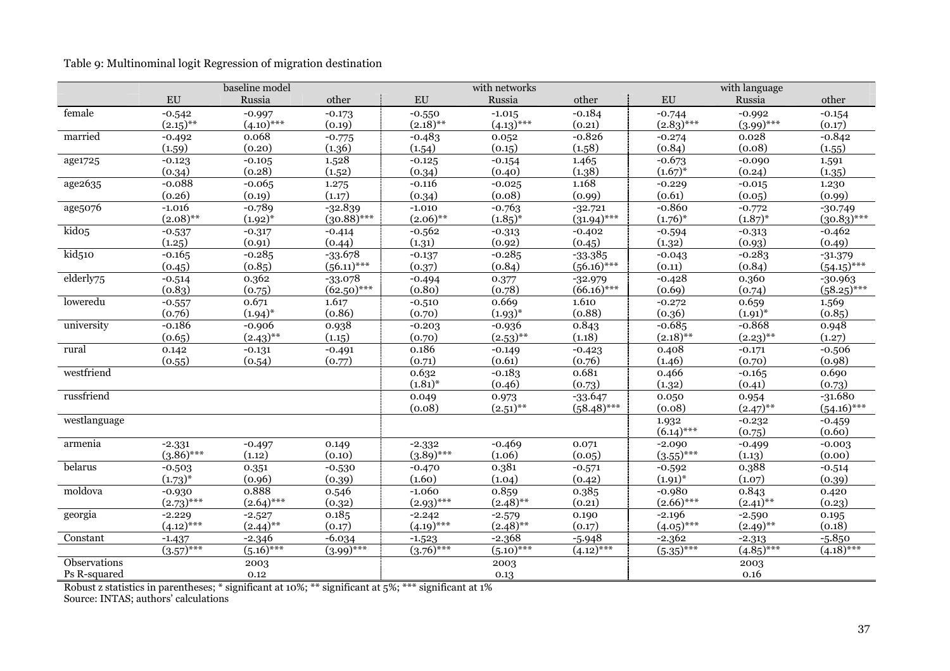| Table 9: Multinominal logit Regression of migration destination |  |  |
|-----------------------------------------------------------------|--|--|

|                   |              | baseline model |               |                       | with networks         |               |              | with language         |               |
|-------------------|--------------|----------------|---------------|-----------------------|-----------------------|---------------|--------------|-----------------------|---------------|
|                   | EU           | Russia         | other         | EU                    | Russia                | other         | ${\rm EU}$   | Russia                | other         |
| female            | $-0.542$     | $-0.997$       | $-0.173$      | $-0.550$              | $-1.015$              | $-0.184$      | $-0.744$     | $-0.992$              | $-0.154$      |
|                   | $(2.15)$ **  | $(4.10)$ ***   | (0.19)        | $(2.18)$ **           | $(4.13)$ ***          | (0.21)        | $(2.83)$ *** | $(3.99)$ ***          | (0.17)        |
| married           | $-0.492$     | 0.068          | $-0.775$      | $-0.483$              | 0.052                 | $-0.826$      | $-0.274$     | 0.028                 | $-0.842$      |
|                   | (1.59)       | (0.20)         | (1.36)        | (1.54)                | (0.15)                | (1.58)        | (0.84)       | (0.08)                | (1.55)        |
| age1725           | $-0.123$     | $-0.105$       | 1.528         | $-0.125$              | $-0.154$              | 1.465         | $-0.673$     | $-0.090$              | 1.591         |
|                   | (0.34)       | (0.28)         | (1.52)        | (0.34)                | (0.40)                | (1.38)        | $(1.67)^{*}$ | (0.24)                | (1.35)        |
| age2635           | $-0.088$     | $-0.065$       | 1.275         | $-0.116$              | $-0.025$              | 1.168         | $-0.229$     | $-0.015$              | 1.230         |
|                   | (0.26)       | (0.19)         | (1.17)        | (0.34)                | (0.08)                | (0.99)        | (0.61)       | (0.05)                | (0.99)        |
| age5076           | $-1.016$     | $-0.789$       | $-32.839$     | $-1.010$              | $-0.763$              | $-32.721$     | $-0.860$     | $-0.772$              | $-30.749$     |
|                   | $(2.08)$ **  | $(1.92)^{*}$   | $(30.88)$ *** | $(2.06)$ **           | $(1.85)^{*}$          | $(31.94)$ *** | $(1.76)^{*}$ | $(1.87)^{*}$          | $(30.83)$ *** |
| kido <sub>5</sub> | $-0.537$     | $-0.317$       | $-0.414$      | $-0.562$              | $-0.313$              | $-0.402$      | $-0.594$     | $-0.313$              | $-0.462$      |
|                   | (1.25)       | (0.91)         | (0.44)        | (1.31)                | (0.92)                | (0.45)        | (1.32)       | (0.93)                | (0.49)        |
| kid510            | $-0.165$     | $-0.285$       | $-33.678$     | $-0.137$              | $-0.285$              | $-33.385$     | $-0.043$     | $-0.283$              | $-31.379$     |
|                   | (0.45)       | (0.85)         | $(56.11)$ *** | (0.37)                | (0.84)                | $(56.16)$ *** | (0.11)       | (0.84)                | $(54.15)$ *** |
| elderly75         | $-0.514$     | 0.362          | $-33.078$     | $-0.494$              | 0.377                 | $-32.979$     | $-0.428$     | 0.360                 | $-30.963$     |
|                   | (0.83)       | (0.75)         | $(62.50)$ *** | (0.80)                | (0.78)                | $(66.16)$ *** | (0.69)       | (0.74)                | $(58.25)$ *** |
| loweredu          | $-0.557$     | 0.671          | 1.617         | $-0.510$              | 0.669                 | 1.610         | $-0.272$     | 0.659                 | 1.569         |
|                   | (0.76)       | $(1.94)^{*}$   | (0.86)        | (0.70)                | $(1.93)^{*}$          | (0.88)        | (0.36)       | $(1.91)^{*}$          | (0.85)        |
| university        | $-0.186$     | $-0.906$       | 0.938         | $-0.203$              | $-0.936$              | 0.843         | $-0.685$     | $-0.868$              | 0.948         |
|                   | (0.65)       | $(2.43)$ **    | (1.15)        | (0.70)                | $(2.53)$ **           | (1.18)        | $(2.18)$ **  | $(2.23)$ **           | (1.27)        |
| rural             | 0.142        | $-0.131$       | $-0.491$      | 0.186                 | $-0.149$              | $-0.423$      | 0.408        | $-0.171$              | $-0.506$      |
|                   | (0.55)       | (0.54)         | (0.77)        | (0.71)                | (0.61)                | (0.76)        | (1.46)       | (0.70)                | (0.98)        |
| westfriend        |              |                |               | 0.632                 | $-0.183$              | 0.681         | 0.466        | $-0.165$              | 0.690         |
|                   |              |                |               | $(1.81)^{*}$          | (0.46)                | (0.73)        | (1.32)       | (0.41)                | (0.73)        |
| russfriend        |              |                |               | 0.049                 | 0.973                 | $-33.647$     | 0.050        | 0.954                 | $-31.680$     |
|                   |              |                |               | (0.08)                | $(2.51)$ **           | $(58.48)$ *** | (0.08)       | $(2.47)$ **           | $(54.16)$ *** |
| westlanguage      |              |                |               |                       |                       |               | 1.932        | $-0.232$              | $-0.459$      |
|                   |              |                |               |                       |                       |               | $(6.14)$ *** | (0.75)                | (0.60)        |
| armenia           | $-2.331$     | $-0.497$       | 0.149         | $-2.332$              | $-0.469$              | 0.071         | $-2.090$     | $-0.499$              | $-0.003$      |
|                   | $(3.86)$ *** | (1.12)         | (0.10)        | $(3.89)$ ***          | (1.06)                | (0.05)        | $(3.55)$ *** | (1.13)                | (0.00)        |
| belarus           | $-0.503$     | 0.351          | $-0.530$      | $-0.470$              | 0.381                 | $-0.571$      | $-0.592$     | 0.388                 | $-0.514$      |
|                   | $(1.73)^{*}$ | (0.96)         | (0.39)        | (1.60)                | (1.04)                | (0.42)        | $(1.91)^{*}$ | (1.07)                | (0.39)        |
| moldova           | $-0.930$     | 0.888          | 0.546         | $-1.060$              | 0.859                 | 0.385         | $-0.980$     | 0.843                 | 0.420         |
|                   | $(2.73)$ *** | $(2.64)$ ***   | (0.32)        | $(2.93)$ ***          | $(2.48)$ **           | (0.21)        | $(2.66)$ *** | $(2.41)$ **           | (0.23)        |
| georgia           | $-2.229$     | $-2.527$       | 0.185         | $-2.242$              | $-2.579$              | 0.190         | $-2.196$     | $-2.590$              | 0.195         |
|                   | $(4.12)$ *** | $(2.44)$ **    | (0.17)        | $(4.19)$ ***          | $(2.48)$ **           | (0.17)        | $(4.05)$ *** | $(2.49)$ **           | (0.18)        |
| Constant          | $-1.437$     | $-2.346$       | $-6.034$      | $-1.523$              | $-2.368$              | $-5.948$      | $-2.362$     | $-2.313$              | $-5.850$      |
|                   | $(3.57)$ *** | $(5.16)$ ***   | $(3.99)$ ***  | $\sqrt{(3.76)^{***}}$ | $\sqrt{(5.10)^{***}}$ | $(4.12)$ ***  | $(5.35)$ *** | $\sqrt{(4.85)^{***}}$ | $(4.18)$ ***  |
| Observations      |              | 2003           |               |                       | 2003                  |               |              | 2003                  |               |
| Ps R-squared      |              | 0.12           |               |                       | 0.13                  |               |              | 0.16                  |               |

Robust z statistics in parentheses; \* significant at 10%; \*\* significant at 5%; \*\*\* significant at 1% Source: INTAS; authors' calculations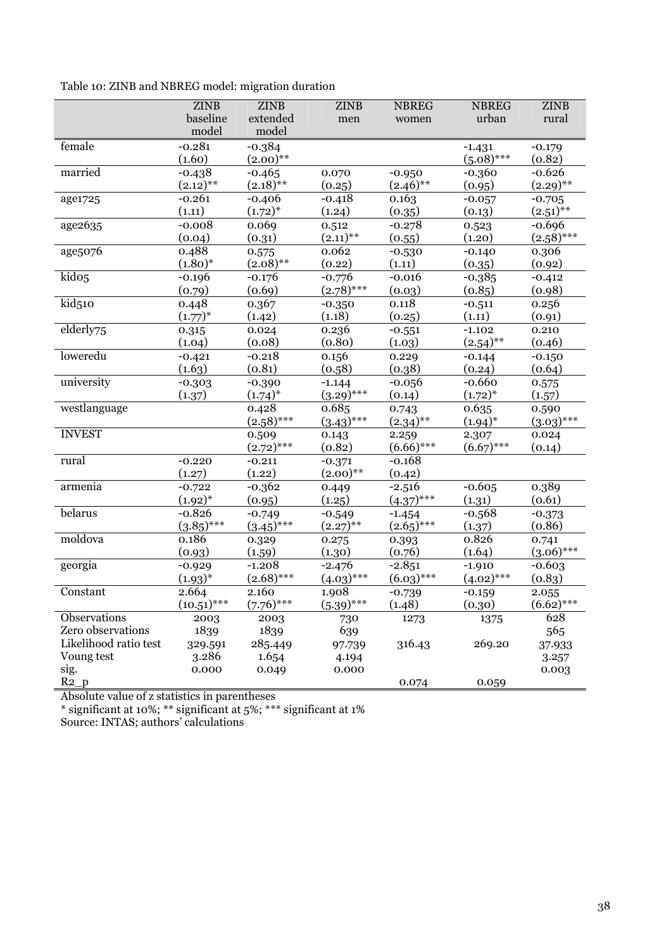|  |  | Table 10: ZINB and NBREG model: migration duration |  |
|--|--|----------------------------------------------------|--|
|  |  |                                                    |  |

|                       | <b>ZINB</b>   | <b>ZINB</b>  | <b>ZINB</b>  | <b>NBREG</b> | <b>NBREG</b>             | <b>ZINB</b>           |
|-----------------------|---------------|--------------|--------------|--------------|--------------------------|-----------------------|
|                       | baseline      | extended     | men          | women        | urban                    | rural                 |
|                       | model         | model        |              |              |                          |                       |
| female                | $-0.281$      | $-0.384$     |              |              | $-1.431$                 | $-0.179$              |
|                       | (1.60)        | $(2.00)$ **  |              |              | $(5.08)$ ***             | (0.82)                |
| married               | $-0.438$      | $-0.465$     | 0.070        | $-0.950$     | $-0.360$                 | $-0.626$              |
|                       | $(2.12)$ **   | $(2.18)$ **  | (0.25)       | $(2.46)$ **  | (0.95)                   | $(2.29)$ **           |
| age1725               | $-0.261$      | $-0.406$     | $-0.418$     | 0.163        | $-0.057$                 | $-0.705$              |
|                       | (1.11)        | $(1.72)^{*}$ | (1.24)       | (0.35)       | (0.13)                   | $(2.51)$ **           |
| age2635               | $-0.008$      | 0.069        | 0.512        | $-0.278$     | 0.523                    | $-0.696$              |
|                       | (0.04)        | (0.31)       | $(2.11)$ **  | (0.55)       | (1.20)                   | $(2.58)$ ***          |
| age5076               | 0.488         | 0.575        | 0.062        | $-0.530$     | $-0.140$                 | 0.306                 |
|                       | $(1.80)$ *    | $(2.08)$ **  | (0.22)       | (1.11)       | (0.35)                   | (0.92)                |
| kido <sub>5</sub>     | $-0.196$      | $-0.176$     | $-0.776$     | $-0.016$     | $-0.385$                 | $-0.412$              |
|                       | (0.79)        | (0.69)       | $(2.78)$ *** | (0.03)       | (0.85)                   | (0.98)                |
| kid <sub>510</sub>    | 0.448         | 0.367        | $-0.350$     | 0.118        | $-0.511$                 | 0.256                 |
|                       | $(1.77)^{*}$  | (1.42)       | (1.18)       | (0.25)       | (1.11)                   | (0.91)                |
| elderly75             | 0.315         | 0.024        | 0.236        | $-0.551$     | $-1.102$                 | 0.210                 |
|                       | (1.04)        | (0.08)       | (0.80)       | (1.03)       | $(2.54)$ **              | (0.46)                |
| loweredu              | $-0.421$      | $-0.218$     | 0.156        | 0.229        | $-0.144$                 | $-0.150$              |
|                       | (1.63)        | (0.81)       | (0.58)       | (0.38)       | (0.24)                   | (0.64)                |
| university            | $-0.303$      | $-0.390$     | $-1.144$     | $-0.056$     | $-0.660$                 | 0.575                 |
|                       | (1.37)        | $(1.74)^{*}$ | $(3.29)$ *** | (0.14)       | $(1.72)^{*}$             | (1.57)                |
| westlanguage          |               | 0.428        | 0.685        | 0.743        | 0.635                    | 0.590                 |
|                       |               | $(2.58)$ *** | $(3.43)$ *** | $(2.34)$ **  | $(1.94)^{*}$             | $(3.03)$ ***          |
| <b>INVEST</b>         |               | 0.509        | 0.143        | 2.259        | 2.307                    | 0.024                 |
|                       |               | $(2.72)$ *** | (0.82)       | $(6.66)$ *** | $(6.67)$ ***             | (0.14)                |
| rural                 | $-0.220$      | $-0.211$     | $-0.371$     | $-0.168$     |                          |                       |
|                       | (1.27)        | (1.22)       | $(2.00)$ **  | (0.42)       |                          |                       |
| armenia               | $-0.722$      | $-0.362$     | 0.449        | $-2.516$     | $-0.605$                 | 0.389                 |
|                       | $(1.92)^{*}$  | (0.95)       | (1.25)       | $(4.37)$ *** | (1.31)                   | (0.61)                |
| belarus               | $-0.826$      | $-0.749$     | $-0.549$     | $-1.454$     | $-0.568$                 | $-0.373$              |
|                       | $(3.85)$ ***  | $(3.45)$ *** | $(2.27)$ **  | $(2.65)$ *** | (1.37)                   | (0.86)                |
| moldova               | 0.186         | 0.329        | 0.275        | 0.393        | 0.826                    | 0.741<br>$(3.06)$ *** |
|                       | (0.93)        | (1.59)       | (1.30)       | (0.76)       | (1.64)                   |                       |
| georgia               | $-0.929$      | $-1.208$     | $-2.476$     | $-2.851$     | $-1.910$<br>$(4.02)$ *** | $-0.603$              |
|                       | $(1.93)^{*}$  | $(2.68)$ *** | $(4.03)$ *** | $(6.03)$ *** |                          | (0.83)                |
| Constant              | 2.664         | 2.160        | 1.908        | $-0.739$     | $-0.159$                 | 2.055                 |
|                       | $(10.51)$ *** | $(7.76)$ *** | $(5.39)$ *** | (1.48)       | (0.30)                   | $(6.62)$ ***          |
| Observations          | 2003          | 2003         | 730          | 1273         | 1375                     | 628                   |
| Zero observations     | 1839          | 1839         | 639          |              |                          | 565                   |
| Likelihood ratio test | 329.591       | 285.449      | 97.739       | 316.43       | 269.20                   | 37.933                |
| Voung test            | 3.286         | 1.654        | 4.194        |              |                          | 3.257                 |
| sig.                  | 0.000         | 0.049        | 0.000        |              |                          | 0.003                 |
| $R2_p$                |               |              |              | 0.074        | 0.059                    |                       |

Absolute value of z statistics in parentheses

\* significant at 10%; \*\* significant at 5%; \*\*\* significant at 1%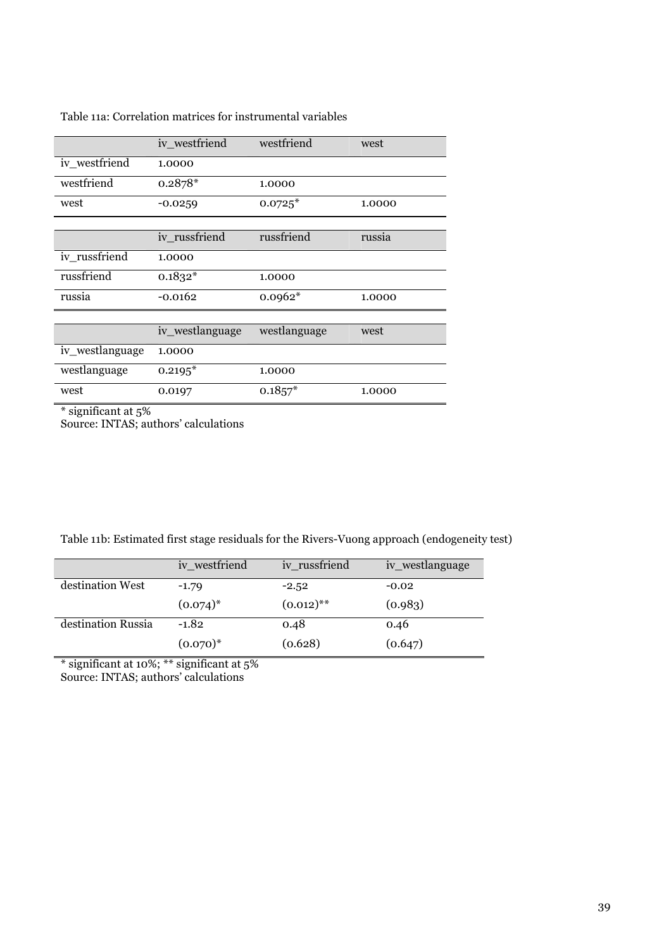|                 | iv_westfriend   | westfriend   | west   |
|-----------------|-----------------|--------------|--------|
| iv westfriend   | 1.0000          |              |        |
| westfriend      | $0.2878*$       | 1.0000       |        |
| west            | $-0.0259$       | $0.0725*$    | 1.0000 |
|                 |                 |              |        |
|                 | iv russfriend   | russfriend   | russia |
| iv_russfriend   | 1.0000          |              |        |
| russfriend      | $0.1832*$       | 1.0000       |        |
| russia          | $-0.0162$       | $0.0962*$    | 1.0000 |
|                 |                 |              |        |
|                 | iv_westlanguage | westlanguage | west   |
| iv_westlanguage | 1.0000          |              |        |
| westlanguage    | $0.2195*$       | 1.0000       |        |
| west            | 0.0197          | $0.1857*$    | 1.0000 |

# Table 11a: Correlation matrices for instrumental variables

\* significant at 5%

Source: INTAS; authors' calculations

| Table 11b: Estimated first stage residuals for the Rivers-Vuong approach (endogeneity test) |  |
|---------------------------------------------------------------------------------------------|--|
|                                                                                             |  |

|                    | iv_westfriend | iv_russfriend | iv_westlanguage |
|--------------------|---------------|---------------|-----------------|
| destination West   | $-1.79$       | $-2.52$       | $-0.02$         |
|                    | $(0.074)^{*}$ | $(0.012)$ **  | (0.983)         |
| destination Russia | $-1.82$       | 0.48          | 0.46            |
|                    | $(0.070)*$    | (0.628)       | (0.647)         |

\* significant at 10%; \*\* significant at 5% Source: INTAS; authors' calculations